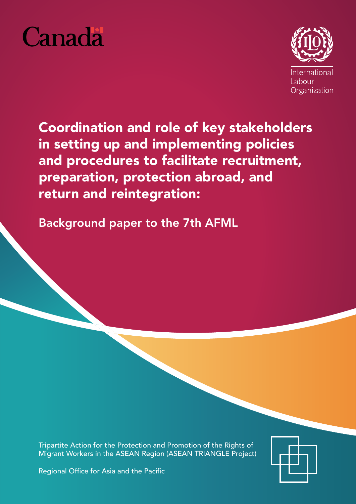



Coordination and role of key stakeholders in setting up and implementing policies and procedures to facilitate recruitment, preparation, protection abroad, and return and reintegration:

Background paper to the 7th AFML

Tripartite Action for the Protection and Promotion of the Rights of Migrant Workers in the ASEAN Region (ASEAN TRIANGLE Project)



Regional Office for Asia and the Pacific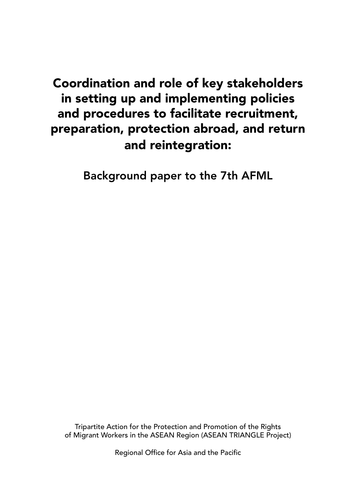# Coordination and role of key stakeholders in setting up and implementing policies and procedures to facilitate recruitment, preparation, protection abroad, and return and reintegration:

Background paper to the 7th AFML

Tripartite Action for the Protection and Promotion of the Rights of Migrant Workers in the ASEAN Region (ASEAN TRIANGLE Project)

Regional Office for Asia and the Pacific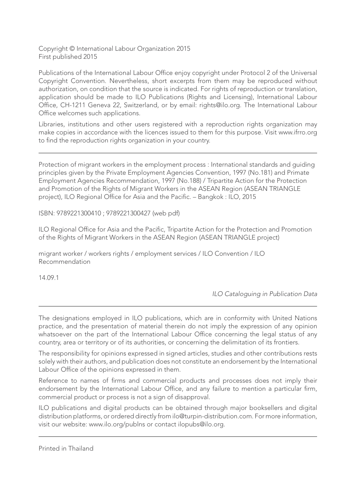Copyright © International Labour Organization 2015 First published 2015

Publications of the International Labour Office enjoy copyright under Protocol 2 of the Universal Copyright Convention. Nevertheless, short excerpts from them may be reproduced without authorization, on condition that the source is indicated. For rights of reproduction or translation, application should be made to ILO Publications (Rights and Licensing), International Labour Office, CH-1211 Geneva 22, Switzerland, or by email: rights@ilo.org. The International Labour Office welcomes such applications.

Libraries, institutions and other users registered with a reproduction rights organization may make copies in accordance with the licences issued to them for this purpose. Visit www.ifrro.org to find the reproduction rights organization in your country.

Protection of migrant workers in the employment process : International standards and guiding principles given by the Private Employment Agencies Convention, 1997 (No.181) and Primate Employment Agencies Recommendation, 1997 (No.188) / Tripartite Action for the Protection and Promotion of the Rights of Migrant Workers in the ASEAN Region (ASEAN TRIANGLE project), ILO Regional Office for Asia and the Pacific. – Bangkok : ILO, 2015

ISBN: 9789221300410 ; 9789221300427 (web pdf)

ILO Regional Office for Asia and the Pacific, Tripartite Action for the Protection and Promotion of the Rights of Migrant Workers in the ASEAN Region (ASEAN TRIANGLE project)

migrant worker / workers rights / employment services / ILO Convention / ILO Recommendation

14.09.1

*ILO Cataloguing in Publication Data* 

The designations employed in ILO publications, which are in conformity with United Nations practice, and the presentation of material therein do not imply the expression of any opinion whatsoever on the part of the International Labour Office concerning the legal status of any country, area or territory or of its authorities, or concerning the delimitation of its frontiers.

The responsibility for opinions expressed in signed articles, studies and other contributions rests solely with their authors, and publication does not constitute an endorsement by the International Labour Office of the opinions expressed in them.

Reference to names of firms and commercial products and processes does not imply their endorsement by the International Labour Office, and any failure to mention a particular firm, commercial product or process is not a sign of disapproval.

ILO publications and digital products can be obtained through major booksellers and digital distribution platforms, or ordered directly from ilo@turpin-distribution.com. For more information, visit our website: www.ilo.org/publns or contact ilopubs@ilo.org.

Printed in Thailand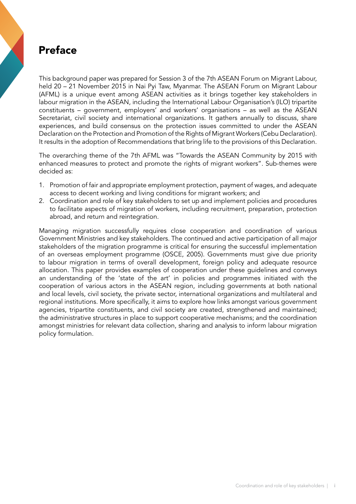# Preface

This background paper was prepared for Session 3 of the 7th ASEAN Forum on Migrant Labour, held 20 – 21 November 2015 in Nai Pyi Taw, Myanmar. The ASEAN Forum on Migrant Labour (AFML) is a unique event among ASEAN activities as it brings together key stakeholders in labour migration in the ASEAN, including the International Labour Organisation's (ILO) tripartite constituents – government, employers' and workers' organisations – as well as the ASEAN Secretariat, civil society and international organizations. It gathers annually to discuss, share experiences, and build consensus on the protection issues committed to under the ASEAN Declaration on the Protection and Promotion of the Rights of Migrant Workers (Cebu Declaration). It results in the adoption of Recommendations that bring life to the provisions of this Declaration.

The overarching theme of the 7th AFML was "Towards the ASEAN Community by 2015 with enhanced measures to protect and promote the rights of migrant workers". Sub-themes were decided as:

- 1. Promotion of fair and appropriate employment protection, payment of wages, and adequate access to decent working and living conditions for migrant workers; and
- 2. Coordination and role of key stakeholders to set up and implement policies and procedures to facilitate aspects of migration of workers, including recruitment, preparation, protection abroad, and return and reintegration.

Managing migration successfully requires close cooperation and coordination of various Government Ministries and key stakeholders. The continued and active participation of all major stakeholders of the migration programme is critical for ensuring the successful implementation of an overseas employment programme (OSCE, 2005). Governments must give due priority to labour migration in terms of overall development, foreign policy and adequate resource allocation. This paper provides examples of cooperation under these guidelines and conveys an understanding of the 'state of the art' in policies and programmes initiated with the cooperation of various actors in the ASEAN region, including governments at both national and local levels, civil society, the private sector, international organizations and multilateral and regional institutions. More specifically, it aims to explore how links amongst various government agencies, tripartite constituents, and civil society are created, strengthened and maintained; the administrative structures in place to support cooperative mechanisms; and the coordination amongst ministries for relevant data collection, sharing and analysis to inform labour migration policy formulation.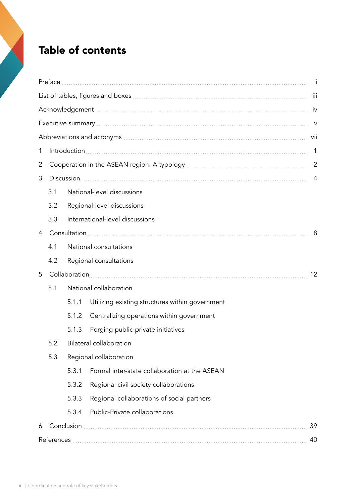# Table of contents

| 1 |                                   |                            |                                                 |  |  |  |  |  |  |
|---|-----------------------------------|----------------------------|-------------------------------------------------|--|--|--|--|--|--|
| 2 |                                   |                            |                                                 |  |  |  |  |  |  |
| 3 |                                   |                            |                                                 |  |  |  |  |  |  |
|   | National-level discussions<br>3.1 |                            |                                                 |  |  |  |  |  |  |
|   | 3.2                               | Regional-level discussions |                                                 |  |  |  |  |  |  |
|   | 3.3                               |                            | International-level discussions                 |  |  |  |  |  |  |
| 4 |                                   |                            |                                                 |  |  |  |  |  |  |
|   | 4.1                               |                            | National consultations                          |  |  |  |  |  |  |
|   | 4.2                               | Regional consultations     |                                                 |  |  |  |  |  |  |
| 5 |                                   | 12                         |                                                 |  |  |  |  |  |  |
|   | National collaboration<br>5.1     |                            |                                                 |  |  |  |  |  |  |
|   |                                   | 5.1.1                      | Utilizing existing structures within government |  |  |  |  |  |  |
|   |                                   | 5.1.2                      | Centralizing operations within government       |  |  |  |  |  |  |
|   |                                   | 5.1.3                      | Forging public-private initiatives              |  |  |  |  |  |  |
|   | 5.2                               | Bilateral collaboration    |                                                 |  |  |  |  |  |  |
|   | 5.3                               | Regional collaboration     |                                                 |  |  |  |  |  |  |
|   |                                   | 5.3.1                      | Formal inter-state collaboration at the ASEAN   |  |  |  |  |  |  |
|   |                                   | 5.3.2                      | Regional civil society collaborations           |  |  |  |  |  |  |
|   |                                   | 5.3.3                      | Regional collaborations of social partners      |  |  |  |  |  |  |
|   |                                   | 5.3.4                      | Public-Private collaborations                   |  |  |  |  |  |  |
| 6 | 39                                |                            |                                                 |  |  |  |  |  |  |
|   | 40                                |                            |                                                 |  |  |  |  |  |  |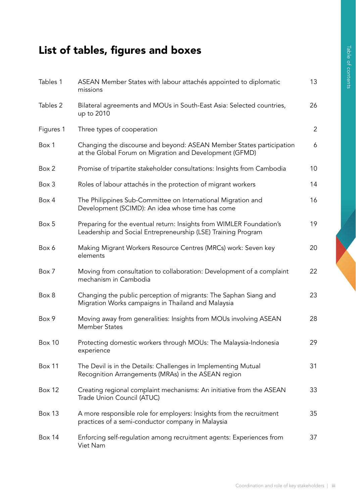# List of tables, figures and boxes

| Tables 1      | ASEAN Member States with labour attachés appointed to diplomatic<br>missions                                                          | 13 |
|---------------|---------------------------------------------------------------------------------------------------------------------------------------|----|
| Tables 2      | Bilateral agreements and MOUs in South-East Asia: Selected countries,<br>up to 2010                                                   | 26 |
| Figures 1     | Three types of cooperation                                                                                                            | 2  |
| Box 1         | Changing the discourse and beyond: ASEAN Member States participation<br>at the Global Forum on Migration and Development (GFMD)       | 6  |
| Box 2         | Promise of tripartite stakeholder consultations: Insights from Cambodia                                                               | 10 |
| Box 3         | Roles of labour attachés in the protection of migrant workers                                                                         | 14 |
| Box 4         | The Philippines Sub-Committee on International Migration and<br>Development (SCIMD): An idea whose time has come                      | 16 |
| Box 5         | Preparing for the eventual return: Insights from WIMLER Foundation's<br>Leadership and Social Entrepreneurship (LSE) Training Program | 19 |
| Box 6         | Making Migrant Workers Resource Centres (MRCs) work: Seven key<br>elements                                                            | 20 |
| Box 7         | Moving from consultation to collaboration: Development of a complaint<br>mechanism in Cambodia                                        | 22 |
| Box 8         | Changing the public perception of migrants: The Saphan Siang and<br>Migration Works campaigns in Thailand and Malaysia                | 23 |
| Box 9         | Moving away from generalities: Insights from MOUs involving ASEAN<br><b>Member States</b>                                             | 28 |
| <b>Box 10</b> | Protecting domestic workers through MOUs: The Malaysia-Indonesia<br>experience                                                        | 29 |
| Box 11        | The Devil is in the Details: Challenges in Implementing Mutual<br>Recognition Arrangements (MRAs) in the ASEAN region                 | 31 |
| <b>Box 12</b> | Creating regional complaint mechanisms: An initiative from the ASEAN<br>Trade Union Council (ATUC)                                    | 33 |
| Box 13        | A more responsible role for employers: Insights from the recruitment<br>practices of a semi-conductor company in Malaysia             | 35 |
| <b>Box 14</b> | Enforcing self-regulation among recruitment agents: Experiences from<br>Viet Nam                                                      | 37 |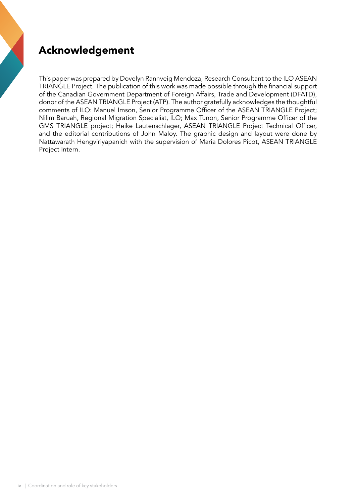# Acknowledgement

This paper was prepared by Dovelyn Rannveig Mendoza, Research Consultant to the ILO ASEAN TRIANGLE Project. The publication of this work was made possible through the financial support of the Canadian Government Department of Foreign Affairs, Trade and Development (DFATD), donor of the ASEAN TRIANGLE Project (ATP). The author gratefully acknowledges the thoughtful comments of ILO: Manuel Imson, Senior Programme Officer of the ASEAN TRIANGLE Project; Nilim Baruah, Regional Migration Specialist, ILO; Max Tunon, Senior Programme Officer of the GMS TRIANGLE project; Heike Lautenschlager, ASEAN TRIANGLE Project Technical Officer, and the editorial contributions of John Maloy. The graphic design and layout were done by Nattawarath Hengviriyapanich with the supervision of Maria Dolores Picot, ASEAN TRIANGLE Project Intern.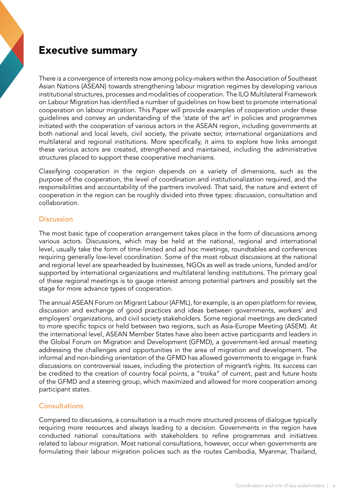# Executive summary

There is a convergence of interests now among policy-makers within the Association of Southeast Asian Nations (ASEAN) towards strengthening labour migration regimes by developing various institutional structures, processes and modalities of cooperation. The ILO Multilateral Framework on Labour Migration has identified a number of guidelines on how best to promote international cooperation on labour migration. This Paper will provide examples of cooperation under these guidelines and convey an understanding of the 'state of the art' in policies and programmes initiated with the cooperation of various actors in the ASEAN region, including governments at both national and local levels, civil society, the private sector, international organizations and multilateral and regional institutions. More specifically, it aims to explore how links amongst these various actors are created, strengthened and maintained, including the administrative structures placed to support these cooperative mechanisms.

Classifying cooperation in the region depends on a variety of dimensions, such as the purpose of the cooperation, the level of coordination and institutionalization required, and the responsibilities and accountability of the partners involved. That said, the nature and extent of cooperation in the region can be roughly divided into three types: discussion, consultation and collaboration.

## **Discussion**

The most basic type of cooperation arrangement takes place in the form of discussions among various actors. Discussions, which may be held at the national, regional and international level, usually take the form of time-limited and ad hoc meetings, roundtables and conferences requiring generally low-level coordination. Some of the most robust discussions at the national and regional level are spearheaded by businesses, NGOs as well as trade unions, funded and/or supported by international organizations and multilateral lending institutions. The primary goal of these regional meetings is to gauge interest among potential partners and possibly set the stage for more advance types of cooperation.

The annual ASEAN Forum on Migrant Labour (AFML), for example, is an open platform for review, discussion and exchange of good practices and ideas between governments, workers' and employers' organizations, and civil society stakeholders. Some regional meetings are dedicated to more specific topics or held between two regions, such as Asia-Europe Meeting (ASEM). At the international level, ASEAN Member States have also been active participants and leaders in the Global Forum on Migration and Development (GFMD), a government-led annual meeting addressing the challenges and opportunities in the area of migration and development. The informal and non-binding orientation of the GFMD has allowed governments to engage in frank discussions on controversial issues, including the protection of migrant's rights. Its success can be credited to the creation of country focal points, a "troika" of current, past and future hosts of the GFMD and a steering group, which maximized and allowed for more cooperation among participant states.

## **Consultations**

Compared to discussions, a consultation is a much more structured process of dialogue typically requiring more resources and always leading to a decision. Governments in the region have conducted national consultations with stakeholders to refine programmes and initiatives related to labour migration. Most national consultations, however, occur when governments are formulating their labour migration policies such as the routes Cambodia, Myanmar, Thailand,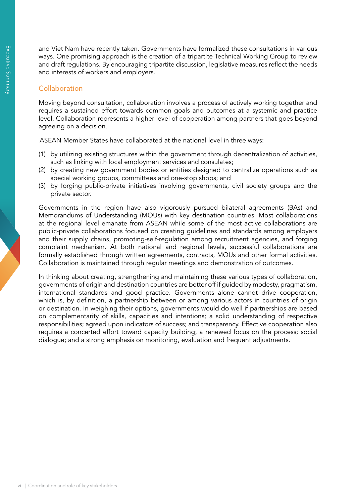and Viet Nam have recently taken. Governments have formalized these consultations in various ways. One promising approach is the creation of a tripartite Technical Working Group to review and draft regulations. By encouraging tripartite discussion, legislative measures reflect the needs and interests of workers and employers.

### **Collaboration**

Moving beyond consultation, collaboration involves a process of actively working together and requires a sustained effort towards common goals and outcomes at a systemic and practice level. Collaboration represents a higher level of cooperation among partners that goes beyond agreeing on a decision.

ASEAN Member States have collaborated at the national level in three ways:

- (1) by utilizing existing structures within the government through decentralization of activities, such as linking with local employment services and consulates;
- (2) by creating new government bodies or entities designed to centralize operations such as special working groups, committees and one-stop shops; and
- (3) by forging public-private initiatives involving governments, civil society groups and the private sector.

Governments in the region have also vigorously pursued bilateral agreements (BAs) and Memorandums of Understanding (MOUs) with key destination countries. Most collaborations at the regional level emanate from ASEAN while some of the most active collaborations are public-private collaborations focused on creating guidelines and standards among employers and their supply chains, promoting-self-regulation among recruitment agencies, and forging complaint mechanism. At both national and regional levels, successful collaborations are formally established through written agreements, contracts, MOUs and other formal activities. Collaboration is maintained through regular meetings and demonstration of outcomes.

In thinking about creating, strengthening and maintaining these various types of collaboration, governments of origin and destination countries are better off if guided by modesty, pragmatism, international standards and good practice. Governments alone cannot drive cooperation, which is, by definition, a partnership between or among various actors in countries of origin or destination. In weighing their options, governments would do well if partnerships are based on complementarity of skills, capacities and intentions; a solid understanding of respective responsibilities; agreed upon indicators of success; and transparency. Effective cooperation also requires a concerted effort toward capacity building; a renewed focus on the process; social dialogue; and a strong emphasis on monitoring, evaluation and frequent adjustments.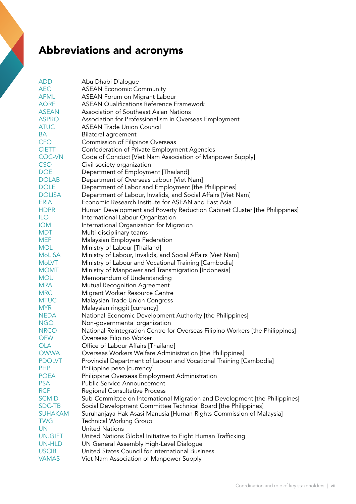# Abbreviations and acronyms

| <b>ADD</b>     | Abu Dhabi Dialogue                                                            |
|----------------|-------------------------------------------------------------------------------|
| <b>AEC</b>     | <b>ASEAN Economic Community</b>                                               |
| <b>AFML</b>    | ASEAN Forum on Migrant Labour                                                 |
| <b>AQRF</b>    | <b>ASEAN Qualifications Reference Framework</b>                               |
| <b>ASEAN</b>   | Association of Southeast Asian Nations                                        |
| <b>ASPRO</b>   | Association for Professionalism in Overseas Employment                        |
| <b>ATUC</b>    | <b>ASEAN Trade Union Council</b>                                              |
| BA             | Bilateral agreement                                                           |
| <b>CFO</b>     | Commission of Filipinos Overseas                                              |
| <b>CIETT</b>   | Confederation of Private Employment Agencies                                  |
| <b>COC-VN</b>  | Code of Conduct [Viet Nam Association of Manpower Supply]                     |
| <b>CSO</b>     | Civil society organization                                                    |
| <b>DOE</b>     | Department of Employment [Thailand]                                           |
| <b>DOLAB</b>   | Department of Overseas Labour [Viet Nam]                                      |
| <b>DOLE</b>    | Department of Labor and Employment [the Philippines]                          |
| <b>DOLISA</b>  | Department of Labour, Invalids, and Social Affairs [Viet Nam]                 |
| <b>ERIA</b>    | Economic Research Institute for ASEAN and East Asia                           |
| <b>HDPR</b>    | Human Development and Poverty Reduction Cabinet Cluster [the Philippines]     |
| <b>ILO</b>     | International Labour Organization                                             |
| <b>IOM</b>     | International Organization for Migration                                      |
| <b>MDT</b>     | Multi-disciplinary teams                                                      |
| <b>MEF</b>     | Malaysian Employers Federation                                                |
| <b>MOL</b>     | Ministry of Labour [Thailand]                                                 |
| <b>MoLISA</b>  | Ministry of Labour, Invalids, and Social Affairs [Viet Nam]                   |
| <b>MoLVT</b>   | Ministry of Labour and Vocational Training [Cambodia]                         |
| <b>MOMT</b>    | Ministry of Manpower and Transmigration [Indonesia]                           |
| <b>MOU</b>     | Memorandum of Understanding                                                   |
| <b>MRA</b>     | Mutual Recognition Agreement                                                  |
| <b>MRC</b>     | Migrant Worker Resource Centre                                                |
| <b>MTUC</b>    | Malaysian Trade Union Congress                                                |
| <b>MYR</b>     | Malaysian ringgit [currency]                                                  |
| <b>NEDA</b>    | National Economic Development Authority [the Philippines]                     |
| <b>NGO</b>     | Non-governmental organization                                                 |
| <b>NRCO</b>    | National Reintegration Centre for Overseas Filipino Workers [the Philippines] |
| <b>OFW</b>     | Overseas Filipino Worker                                                      |
| <b>OLA</b>     | Office of Labour Affairs [Thailand]                                           |
| <b>OWWA</b>    | Overseas Workers Welfare Administration [the Philippines]                     |
| <b>PDOLVT</b>  | Provincial Department of Labour and Vocational Training [Cambodia]            |
| <b>PHP</b>     | Philippine peso [currency]                                                    |
| <b>POEA</b>    | Philippine Overseas Employment Administration                                 |
| <b>PSA</b>     | <b>Public Service Announcement</b>                                            |
| <b>RCP</b>     | Regional Consultative Process                                                 |
| <b>SCMID</b>   | Sub-Committee on International Migration and Development [the Philippines]    |
| SDC-TB         | Social Development Committee Technical Board [the Philippines]                |
| <b>SUHAKAM</b> | Suruhanjaya Hak Asasi Manusia [Human Rights Commission of Malaysia]           |
| <b>TWG</b>     | <b>Technical Working Group</b>                                                |
| UN             | United Nations                                                                |
| <b>UN.GIFT</b> | United Nations Global Initiative to Fight Human Trafficking                   |
| UN-HLD         | UN General Assembly High-Level Dialogue                                       |
| <b>USCIB</b>   | United States Council for International Business                              |
| <b>VAMAS</b>   |                                                                               |
|                | Viet Nam Association of Manpower Supply                                       |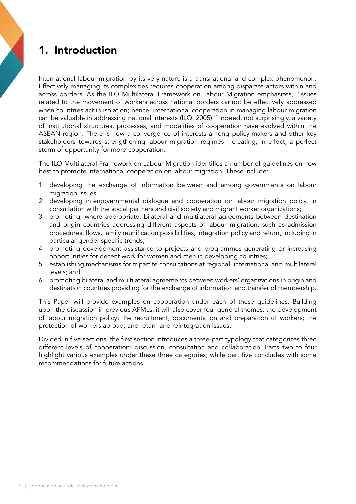# 1. Introduction

International labour migration by its very nature is a transnational and complex phenomenon. Effectively managing its complexities requires cooperation among disparate actors within and across borders. As the ILO Multilateral Framework on Labour Migration emphasizes, "issues related to the movement of workers across national borders cannot be effectively addressed when countries act in isolation; hence, international cooperation in managing labour migration can be valuable in addressing national interests (ILO, 2005)." Indeed, not surprisingly, a variety of institutional structures, processes, and modalities of cooperation have evolved within the ASEAN region. There is now a convergence of interests among policy-makers and other key stakeholders towards strengthening labour migration regimes - creating, in effect, a perfect storm of opportunity for more cooperation.

The ILO Multilateral Framework on Labour Migration identifies a number of guidelines on how best to promote international cooperation on labour migration. These include:

- 1 developing the exchange of information between and among governments on labour migration issues;
- 2 developing intergovernmental dialogue and cooperation on labour migration policy, in consultation with the social partners and civil society and migrant worker organizations;
- 3 promoting, where appropriate, bilateral and multilateral agreements between destination and origin countries addressing different aspects of labour migration, such as admission procedures, flows, family reunification possibilities, integration policy and return, including in particular gender-specific trends;
- 4 promoting development assistance to projects and programmes generating or increasing opportunities for decent work for women and men in developing countries;
- 5 establishing mechanisms for tripartite consultations at regional, international and multilateral levels; and
- 6 promoting bilateral and multilateral agreements between workers' organizations in origin and destination countries providing for the exchange of information and transfer of membership.

This Paper will provide examples on cooperation under each of these guidelines. Building upon the discussion in previous AFMLs, it will also cover four general themes: the development of labour migration policy; the recruitment, documentation and preparation of workers; the protection of workers abroad; and return and reintegration issues.

Divided in five sections, the first section introduces a three-part typology that categorizes three different levels of cooperation: discussion, consultation and collaboration. Parts two to four highlight various examples under these three categories; while part five concludes with some recommendations for future actions.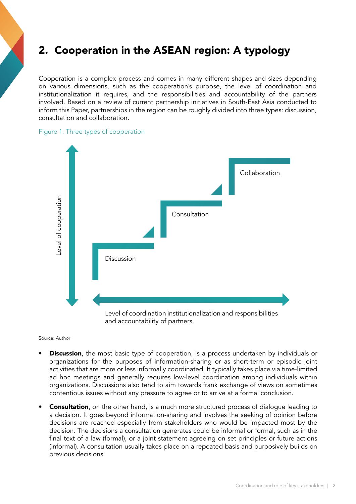# 2. Cooperation in the ASEAN region: A typology

Cooperation is a complex process and comes in many different shapes and sizes depending on various dimensions, such as the cooperation's purpose, the level of coordination and institutionalization it requires, and the responsibilities and accountability of the partners involved. Based on a review of current partnership initiatives in South-East Asia conducted to inform this Paper, partnerships in the region can be roughly divided into three types: discussion, consultation and collaboration.

#### Figure 1: Three types of cooperation



Source: Author

- **Discussion**, the most basic type of cooperation, is a process undertaken by individuals or organizations for the purposes of information-sharing or as short-term or episodic joint activities that are more or less informally coordinated. It typically takes place via time-limited ad hoc meetings and generally requires low-level coordination among individuals within organizations. Discussions also tend to aim towards frank exchange of views on sometimes contentious issues without any pressure to agree or to arrive at a formal conclusion.
- **Consultation**, on the other hand, is a much more structured process of dialogue leading to a decision. It goes beyond information-sharing and involves the seeking of opinion before decisions are reached especially from stakeholders who would be impacted most by the decision. The decisions a consultation generates could be informal or formal, such as in the final text of a law (formal), or a joint statement agreeing on set principles or future actions (informal). A consultation usually takes place on a repeated basis and purposively builds on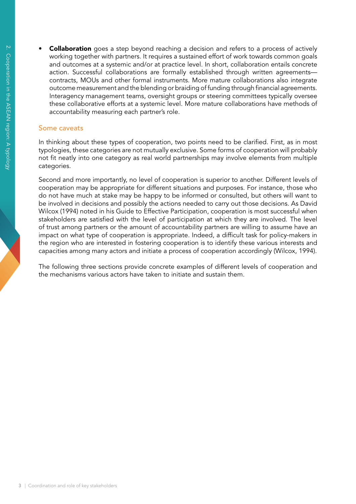**Collaboration** goes a step beyond reaching a decision and refers to a process of actively working together with partners. It requires a sustained effort of work towards common goals and outcomes at a systemic and/or at practice level. In short, collaboration entails concrete action. Successful collaborations are formally established through written agreements contracts, MOUs and other formal instruments. More mature collaborations also integrate outcome measurement and the blending or braiding of funding through financial agreements. Interagency management teams, oversight groups or steering committees typically oversee these collaborative efforts at a systemic level. More mature collaborations have methods of accountability measuring each partner's role.

#### Some caveats

In thinking about these types of cooperation, two points need to be clarified. First, as in most typologies, these categories are not mutually exclusive. Some forms of cooperation will probably not fit neatly into one category as real world partnerships may involve elements from multiple categories.

Second and more importantly, no level of cooperation is superior to another. Different levels of cooperation may be appropriate for different situations and purposes. For instance, those who do not have much at stake may be happy to be informed or consulted, but others will want to be involved in decisions and possibly the actions needed to carry out those decisions. As David Wilcox (1994) noted in his Guide to Effective Participation, cooperation is most successful when stakeholders are satisfied with the level of participation at which they are involved. The level of trust among partners or the amount of accountability partners are willing to assume have an impact on what type of cooperation is appropriate. Indeed, a difficult task for policy-makers in the region who are interested in fostering cooperation is to identify these various interests and capacities among many actors and initiate a process of cooperation accordingly (Wilcox, 1994).

The following three sections provide concrete examples of different levels of cooperation and the mechanisms various actors have taken to initiate and sustain them.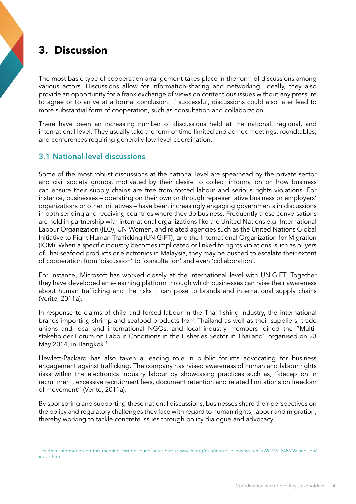# 3. Discussion

The most basic type of cooperation arrangement takes place in the form of discussions among various actors. Discussions allow for information-sharing and networking. Ideally, they also provide an opportunity for a frank exchange of views on contentious issues without any pressure to agree or to arrive at a formal conclusion. If successful, discussions could also later lead to more substantial form of cooperation, such as consultation and collaboration.

There have been an increasing number of discussions held at the national, regional, and international level. They usually take the form of time-limited and ad hoc meetings, roundtables, and conferences requiring generally low-level coordination.

# 3.1 National-level discussions

Some of the most robust discussions at the national level are spearhead by the private sector and civil society groups, motivated by their desire to collect information on how business can ensure their supply chains are free from forced labour and serious rights violations. For instance, businesses – operating on their own or through representative business or employers' organizations or other initiatives – have been increasingly engaging governments in discussions in both sending and receiving countries where they do business. Frequently these conversations are held in partnership with international organizations like the United Nations e.g. International Labour Organization (ILO), UN Women, and related agencies such as the United Nations Global Initiative to Fight Human Trafficking (UN.GIFT), and the International Organization for Migration (IOM). When a specific industry becomes implicated or linked to rights violations, such as buyers of Thai seafood products or electronics in Malaysia, they may be pushed to escalate their extent of cooperation from 'discussion' to 'consultation' and even 'collaboration'.

For instance, Microsoft has worked closely at the international level with UN.GIFT. Together they have developed an e-learning platform through which businesses can raise their awareness about human trafficking and the risks it can pose to brands and international supply chains (Verite, 2011a).

In response to claims of child and forced labour in the Thai fishing industry, the international brands importing shrimp and seafood products from Thailand as well as their suppliers, trade unions and local and international NGOs, and local industry members joined the "Multistakeholder Forum on Labour Conditions in the Fisheries Sector in Thailand" organised on 23 May 2014, in Bangkok.<sup>1</sup>

Hewlett-Packard has also taken a leading role in public forums advocating for business engagement against trafficking. The company has raised awareness of human and labour rights risks within the electronics industry labour by showcasing practices such as, "deception in recruitment, excessive recruitment fees, document retention and related limitations on freedom of movement" (Verite, 2011a).

By sponsoring and supporting these national discussions, businesses share their perspectives on the policy and regulatory challenges they face with regard to human rights, labour and migration, thereby working to tackle concrete issues through policy dialogue and advocacy.

<sup>1</sup> Further information on this meeting can be found here: http://www.ilo.org/asia/info/public/newsitems/WCMS\_245506/lang--en/ index.htm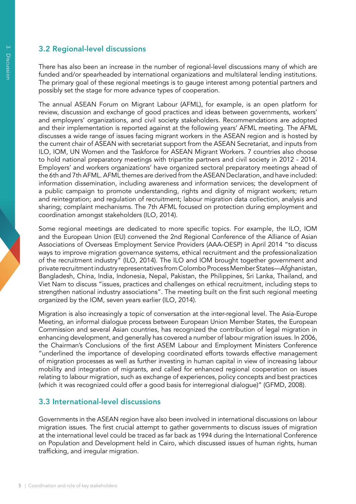# 3.2 Regional-level discussions

There has also been an increase in the number of regional-level discussions many of which are funded and/or spearheaded by international organizations and multilateral lending institutions. The primary goal of these regional meetings is to gauge interest among potential partners and possibly set the stage for more advance types of cooperation.

The annual ASEAN Forum on Migrant Labour (AFML), for example, is an open platform for review, discussion and exchange of good practices and ideas between governments, workers' and employers' organizations, and civil society stakeholders. Recommendations are adopted and their implementation is reported against at the following years' AFML meeting. The AFML discusses a wide range of issues facing migrant workers in the ASEAN region and is hosted by the current chair of ASEAN with secretariat support from the ASEAN Secretariat, and inputs from ILO, IOM, UN Women and the Taskforce for ASEAN Migrant Workers. 7 countries also choose to hold national preparatory meetings with tripartite partners and civil society in 2012 - 2014. Employers' and workers organizations' have organized sectoral preparatory meetings ahead of the 6th and 7th AFML. AFML themes are derived from the ASEAN Declaration, and have included: information dissemination, including awareness and information services; the development of a public campaign to promote understanding, rights and dignity of migrant workers; return and reintegration; and regulation of recruitment; labour migration data collection, analysis and sharing; complaint mechanisms. The 7th AFML focused on protection during employment and coordination amongst stakeholders (ILO, 2014).

Some regional meetings are dedicated to more specific topics. For example, the ILO, IOM and the European Union (EU) convened the 2nd Regional Conference of the Alliance of Asian Associations of Overseas Employment Service Providers (AAA-OESP) in April 2014 "to discuss ways to improve migration governance systems, ethical recruitment and the professionalization of the recruitment industry" (ILO, 2014). The ILO and IOM brought together government and private recruitment industry representatives from Colombo Process Member States—Afghanistan, Bangladesh, China, India, Indonesia, Nepal, Pakistan, the Philippines, Sri Lanka, Thailand, and Viet Nam to discuss "issues, practices and challenges on ethical recruitment, including steps to strengthen national industry associations". The meeting built on the first such regional meeting organized by the IOM, seven years earlier (ILO, 2014).

Migration is also increasingly a topic of conversation at the inter-regional level. The Asia-Europe Meeting, an informal dialogue process between European Union Member States, the European Commission and several Asian countries, has recognized the contribution of legal migration in enhancing development, and generally has covered a number of labour migration issues. In 2006, the Chairman's Conclusions of the first ASEM Labour and Employment Ministers Conference "underlined the importance of developing coordinated efforts towards effective management of migration processes as well as further investing in human capital in view of increasing labour mobility and integration of migrants, and called for enhanced regional cooperation on issues relating to labour migration, such as exchange of experiences, policy concepts and best practices (which it was recognized could offer a good basis for interregional dialogue)" (GFMD, 2008).

# 3.3 International-level discussions

Governments in the ASEAN region have also been involved in international discussions on labour migration issues. The first crucial attempt to gather governments to discuss issues of migration at the international level could be traced as far back as 1994 during the International Conference on Population and Development held in Cairo, which discussed issues of human rights, human trafficking, and irregular migration.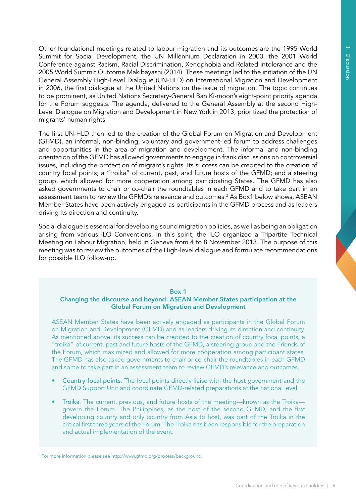Other foundational meetings related to labour migration and its outcomes are the 1995 World Summit for Social Development, the UN Millennium Declaration in 2000, the 2001 World Conference against Racism, Racial Discrimination, Xenophobia and Related Intolerance and the 2005 World Summit Outcome Makibayashi (2014). These meetings led to the initiation of the UN General Assembly High-Level Dialogue (UN-HLD) on International Migration and Development in 2006, the first dialogue at the United Nations on the issue of migration. The topic continues to be prominent, as United Nations Secretary-General Ban Ki-moon's eight-point priority agenda for the Forum suggests. The agenda, delivered to the General Assembly at the second High-Level Dialogue on Migration and Development in New York in 2013, prioritized the protection of migrants' human rights.

The first UN-HLD then led to the creation of the Global Forum on Migration and Development (GFMD), an informal, non-binding, voluntary and government-led forum to address challenges and opportunities in the area of migration and development. The informal and non-binding orientation of the GFMD has allowed governments to engage in frank discussions on controversial issues, including the protection of migrant's rights. Its success can be credited to the creation of country focal points; a "troika" of current, past, and future hosts of the GFMD; and a steering group, which allowed for more cooperation among participating States. The GFMD has also asked governments to chair or co-chair the roundtables in each GFMD and to take part in an assessment team to review the GFMD's relevance and outcomes.<sup>2</sup> As Box1 below shows, ASEAN Member States have been actively engaged as participants in the GFMD process and as leaders driving its direction and continuity.

Social dialogue is essential for developing sound migration policies, as well as being an obligation arising from various ILO Conventions. In this spirit, the ILO organized a Tripartite Technical Meeting on Labour Migration, held in Geneva from 4 to 8 November 2013. The purpose of this meeting was to review the outcomes of the High-level dialogue and formulate recommendations for possible ILO follow-up.

#### Box 1

#### Changing the discourse and beyond: ASEAN Member States participation at the Global Forum on Migration and Development

ASEAN Member States have been actively engaged as participants in the Global Forum on Migration and Development (GFMD) and as leaders driving its direction and continuity. As mentioned above, its success can be credited to the creation of country focal points, a "troika" of current, past and future hosts of the GFMD, a steering group and the Friends of the Forum, which maximized and allowed for more cooperation among participant states. The GFMD has also asked governments to chair or co-chair the roundtables in each GFMD and some to take part in an assessment team to review GFMD's relevance and outcomes.

- Country focal points. The focal points directly liaise with the host government and the GFMD Support Unit and coordinate GFMD-related preparations at the national level.
- Troika. The current, previous, and future hosts of the meeting—known as the Troika govern the Forum. The Philippines, as the host of the second GFMD, and the first developing country and only country from Asia to host, was part of the Troika in the critical first three years of the Forum. The Troika has been responsible for the preparation and actual implementation of the event.

<sup>2</sup> For more information please see http://www.gfmd.org/process/background.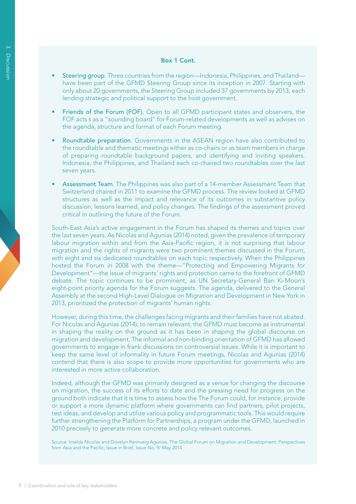#### Box 1 Cont.

- **Steering group**. Three countries from the region—Indonesia, Philippines, and Thailand have been part of the GFMD Steering Group since its inception in 2007. Starting with only about 20 governments, the Steering Group included 37 governments by 2013, each lending strategic and political support to the host government.
- Friends of the Forum (FOF). Open to all GFMD participant states and observers, the FOF acts s as a "sounding board" for Forum-related developments as well as advises on the agenda, structure and format of each Forum meeting.
- Roundtable preparation. Governments in the ASEAN region have also contributed to the roundtable and thematic meetings either as co-chairs or as team members in charge of preparing roundtable background papers, and identifying and inviting speakers. Indonesia, the Philippines, and Thailand each co-chaired two roundtables over the last seven years.
- Assessment Team. The Philippines was also part of a 14-member Assessment Team that Switzerland chaired in 2011 to examine the GFMD process. The review looked at GFMD structures as well as the impact and relevance of its outcomes in substantive policy discussion, lessons learned, and policy changes. The findings of the assessment proved critical in outlining the future of the Forum.

South-East Asia's active engagement in the Forum has shaped its themes and topics over the last seven years. As Nicolas and Agunias (2014) noted, given the prevalence of temporary labour migration within and from the Asia-Pacific region, it is not surprising that labour migration and the rights of migrants were two prominent themes discussed in the Forum, with eight and six dedicated roundtables on each topic respectively. When the Philippines hosted the Forum in 2008 with the theme—"Protecting and Empowering Migrants for Development"—the issue of migrants' rights and protection came to the forefront of GFMD debate. The topic continues to be prominent, as UN Secretary-General Ban Ki-Moon's eight-point priority agenda for the Forum suggests. The agenda, delivered to the General Assembly at the second High-Level Dialogue on Migration and Development in New York in 2013, prioritized the protection of migrants' human rights.

However, during this time, the challenges facing migrants and their families have not abated. For Nicolas and Agunias (2014), to remain relevant, the GFMD must become as instrumental in shaping the reality on the ground as it has been in shaping the global discourse on migration and development. The informal and non-binding orientation of GFMD has allowed governments to engage in frank discussions on controversial issues. While it is important to keep the same level of informality in future Forum meetings, Nicolas and Agunias (2014) contend that there is also scope to provide more opportunities for governments who are interested in more active collaboration.

Indeed, although the GFMD was primarily designed as a venue for changing the discourse on migration, the success of its efforts to date and the pressing need for progress on the ground both indicate that it is time to assess how the The Forum could, for instance, provide or support a more dynamic platform where governments can find partners, pilot projects, test ideas, and develop and utilize various policy and programmatic tools. This would require further strengthening the Platform for Partnerships, a program under the GFMD, launched in 2010 precisely to generate more concrete and policy relevant outcomes.

Source: Imelda Nicolas and Dovelyn Rannveig Agunias, The Global Forum on Migration and Development: Perspectives from Asia and the Pacific, Issue in Brief, Issue No. 9/ May 2014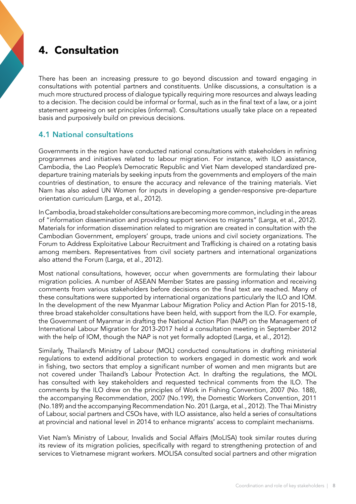# 4. Consultation

There has been an increasing pressure to go beyond discussion and toward engaging in consultations with potential partners and constituents. Unlike discussions, a consultation is a much more structured process of dialogue typically requiring more resources and always leading to a decision. The decision could be informal or formal, such as in the final text of a law, or a joint statement agreeing on set principles (informal). Consultations usually take place on a repeated basis and purposively build on previous decisions.

# 4.1 National consultations

Governments in the region have conducted national consultations with stakeholders in refining programmes and initiatives related to labour migration. For instance, with ILO assistance, Cambodia, the Lao People's Democratic Republic and Viet Nam developed standardized predeparture training materials by seeking inputs from the governments and employers of the main countries of destination, to ensure the accuracy and relevance of the training materials. Viet Nam has also asked UN Women for inputs in developing a gender-responsive pre-departure orientation curriculum (Larga, et al., 2012).

In Cambodia, broad stakeholder consultations are becoming more common, including in the areas of "information dissemination and providing support services to migrants" (Larga, et al., 2012). Materials for information dissemination related to migration are created in consultation with the Cambodian Government, employers' groups, trade unions and civil society organizations. The Forum to Address Exploitative Labour Recruitment and Trafficking is chaired on a rotating basis among members. Representatives from civil society partners and international organizations also attend the Forum (Larga, et al., 2012).

Most national consultations, however, occur when governments are formulating their labour migration policies. A number of ASEAN Member States are passing information and receiving comments from various stakeholders before decisions on the final text are reached. Many of these consultations were supported by international organizations particularly the ILO and IOM. In the development of the new Myanmar Labour Migration Policy and Action Plan for 2015-18, three broad stakeholder consultations have been held, with support from the ILO. For example, the Government of Myanmar in drafting the National Action Plan (NAP) on the Management of International Labour Migration for 2013-2017 held a consultation meeting in September 2012 with the help of IOM, though the NAP is not yet formally adopted (Larga, et al., 2012).

Similarly, Thailand's Ministry of Labour (MOL) conducted consultations in drafting ministerial regulations to extend additional protection to workers engaged in domestic work and work in fishing, two sectors that employ a significant number of women and men migrants but are not covered under Thailand's Labour Protection Act. In drafting the regulations, the MOL has consulted with key stakeholders and requested technical comments from the ILO. The comments by the ILO drew on the principles of Work in Fishing Convention, 2007 (No. 188), the accompanying Recommendation, 2007 (No.199), the Domestic Workers Convention, 2011 (No.189) and the accompanying Recommendation No. 201 (Larga, et al., 2012). The Thai Ministry of Labour, social partners and CSOs have, with ILO assistance, also held a series of consultations at provincial and national level in 2014 to enhance migrants' access to complaint mechanisms.

Viet Nam's Ministry of Labour, Invalids and Social Affairs (MoLISA) took similar routes during its review of its migration policies, specifically with regard to strengthening protection of and services to Vietnamese migrant workers. MOLISA consulted social partners and other migration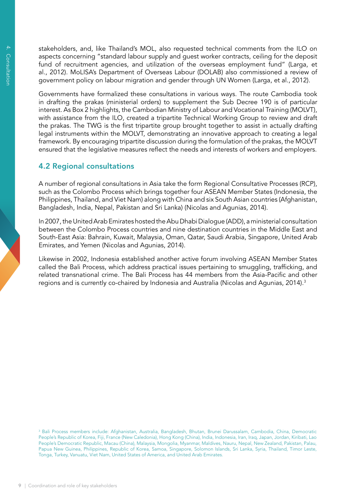stakeholders, and, like Thailand's MOL, also requested technical comments from the ILO on aspects concerning "standard labour supply and guest worker contracts, ceiling for the deposit fund of recruitment agencies, and utilization of the overseas employment fund" (Larga, et al., 2012). MoLISA's Department of Overseas Labour (DOLAB) also commissioned a review of government policy on labour migration and gender through UN Women (Larga, et al., 2012).

Governments have formalized these consultations in various ways. The route Cambodia took in drafting the prakas (ministerial orders) to supplement the Sub Decree 190 is of particular interest. As Box 2 highlights, the Cambodian Ministry of Labour and Vocational Training (MOLVT), with assistance from the ILO, created a tripartite Technical Working Group to review and draft the prakas. The TWG is the first tripartite group brought together to assist in actually drafting legal instruments within the MOLVT, demonstrating an innovative approach to creating a legal framework. By encouraging tripartite discussion during the formulation of the prakas, the MOLVT ensured that the legislative measures reflect the needs and interests of workers and employers.

# 4.2 Regional consultations

A number of regional consultations in Asia take the form Regional Consultative Processes (RCP), such as the Colombo Process which brings together four ASEAN Member States (Indonesia, the Philippines, Thailand, and Viet Nam) along with China and six South Asian countries (Afghanistan, Bangladesh, India, Nepal, Pakistan and Sri Lanka) (Nicolas and Agunias, 2014).

In 2007, the United Arab Emirates hosted the Abu Dhabi Dialogue (ADD), a ministerial consultation between the Colombo Process countries and nine destination countries in the Middle East and South-East Asia: Bahrain, Kuwait, Malaysia, Oman, Qatar, Saudi Arabia, Singapore, United Arab Emirates, and Yemen (Nicolas and Agunias, 2014).

Likewise in 2002, Indonesia established another active forum involving ASEAN Member States called the Bali Process, which address practical issues pertaining to smuggling, trafficking, and related transnational crime. The Bali Process has 44 members from the Asia-Pacific and other regions and is currently co-chaired by Indonesia and Australia (Nicolas and Agunias, 2014).<sup>3</sup>

<sup>3</sup> Bali Process members include: Afghanistan, Australia, Bangladesh, Bhutan, Brunei Darussalam, Cambodia, China, Democratic People's Republic of Korea, Fiji, France (New Caledonia), Hong Kong (China), India, Indonesia, Iran, Iraq, Japan, Jordan, Kiribati, Lao People's Democratic Republic, Macau (China), Malaysia, Mongolia, Myanmar, Maldives, Nauru, Nepal, New Zealand, Pakistan, Palau, Papua New Guinea, Philippines, Republic of Korea, Samoa, Singapore, Solomon Islands, Sri Lanka, Syria, Thailand, Timor Leste, Tonga, Turkey, Vanuatu, Viet Nam, United States of America, and United Arab Emirates.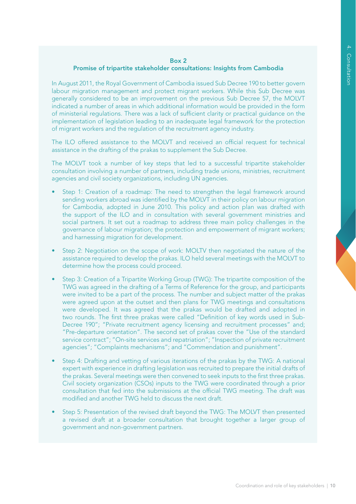#### Box 2

#### Promise of tripartite stakeholder consultations: Insights from Cambodia

In August 2011, the Royal Government of Cambodia issued Sub Decree 190 to better govern labour migration management and protect migrant workers. While this Sub Decree was generally considered to be an improvement on the previous Sub Decree 57, the MOLVT indicated a number of areas in which additional information would be provided in the form of ministerial regulations. There was a lack of sufficient clarity or practical guidance on the implementation of legislation leading to an inadequate legal framework for the protection of migrant workers and the regulation of the recruitment agency industry.

The ILO offered assistance to the MOLVT and received an official request for technical assistance in the drafting of the prakas to supplement the Sub Decree.

The MOLVT took a number of key steps that led to a successful tripartite stakeholder consultation involving a number of partners, including trade unions, ministries, recruitment agencies and civil society organizations, including UN agencies.

- Step 1: Creation of a roadmap: The need to strengthen the legal framework around sending workers abroad was identified by the MOLVT in their policy on labour migration for Cambodia, adopted in June 2010. This policy and action plan was drafted with the support of the ILO and in consultation with several government ministries and social partners. It set out a roadmap to address three main policy challenges in the governance of labour migration; the protection and empowerment of migrant workers; and harnessing migration for development.
- Step 2: Negotiation on the scope of work: MOLTV then negotiated the nature of the assistance required to develop the prakas. ILO held several meetings with the MOLVT to determine how the process could proceed.
- Step 3: Creation of a Tripartite Working Group (TWG): The tripartite composition of the TWG was agreed in the drafting of a Terms of Reference for the group, and participants were invited to be a part of the process. The number and subject matter of the prakas were agreed upon at the outset and then plans for TWG meetings and consultations were developed. It was agreed that the prakas would be drafted and adopted in two rounds. The first three prakas were called "Definition of key words used in Sub-Decree 190"; "Private recruitment agency licensing and recruitment processes" and; "Pre-departure orientation". The second set of prakas cover the "Use of the standard service contract"; "On-site services and repatriation"; "Inspection of private recruitment agencies"; "Complaints mechanisms"; and "Commendation and punishment".
- Step 4: Drafting and vetting of various iterations of the prakas by the TWG: A national expert with experience in drafting legislation was recruited to prepare the initial drafts of the prakas. Several meetings were then convened to seek inputs to the first three prakas. Civil society organization (CSOs) inputs to the TWG were coordinated through a prior consultation that fed into the submissions at the official TWG meeting. The draft was modified and another TWG held to discuss the next draft.
- Step 5: Presentation of the revised draft beyond the TWG: The MOLVT then presented a revised draft at a broader consultation that brought together a larger group of government and non-government partners.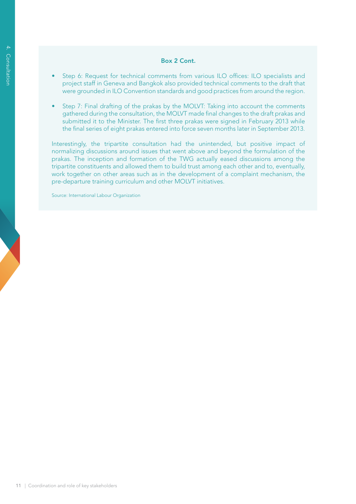#### Box 2 Cont.

- Step 6: Request for technical comments from various ILO offices: ILO specialists and project staff in Geneva and Bangkok also provided technical comments to the draft that were grounded in ILO Convention standards and good practices from around the region.
- Step 7: Final drafting of the prakas by the MOLVT: Taking into account the comments gathered during the consultation, the MOLVT made final changes to the draft prakas and submitted it to the Minister. The first three prakas were signed in February 2013 while the final series of eight prakas entered into force seven months later in September 2013.

Interestingly, the tripartite consultation had the unintended, but positive impact of normalizing discussions around issues that went above and beyond the formulation of the prakas. The inception and formation of the TWG actually eased discussions among the tripartite constituents and allowed them to build trust among each other and to, eventually, work together on other areas such as in the development of a complaint mechanism, the pre-departure training curriculum and other MOLVT initiatives.

Source: International Labour Organization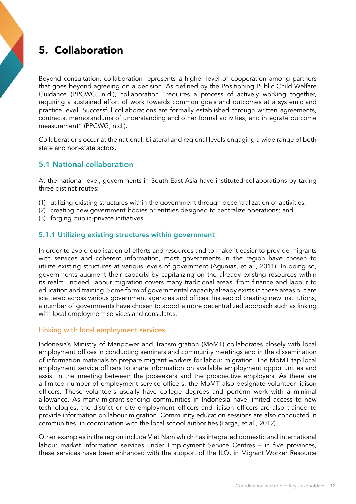# 5. Collaboration

Beyond consultation, collaboration represents a higher level of cooperation among partners that goes beyond agreeing on a decision. As defined by the Positioning Public Child Welfare Guidance (PPCWG, n.d.), collaboration "requires a process of actively working together, requiring a sustained effort of work towards common goals and outcomes at a systemic and practice level. Successful collaborations are formally established through written agreements, contracts, memorandums of understanding and other formal activities, and integrate outcome measurement" (PPCWG, n.d.).

Collaborations occur at the national, bilateral and regional levels engaging a wide range of both state and non-state actors.

# 5.1 National collaboration

At the national level, governments in South-East Asia have instituted collaborations by taking three distinct routes:

- (1) utilizing existing structures within the government through decentralization of activities;
- (2) creating new government bodies or entities designed to centralize operations; and
- (3) forging public-private initiatives.

## 5.1.1 Utilizing existing structures within government

In order to avoid duplication of efforts and resources and to make it easier to provide migrants with services and coherent information, most governments in the region have chosen to utilize existing structures at various levels of government (Agunias, et al., 2011). In doing so, governments augment their capacity by capitalizing on the already existing resources within its realm. Indeed, labour migration covers many traditional areas, from finance and labour to education and training. Some form of governmental capacity already exists in these areas but are scattered across various government agencies and offices. Instead of creating new institutions, a number of governments have chosen to adopt a more decentralized approach such as linking with local employment services and consulates.

## Linking with local employment services

Indonesia's Ministry of Manpower and Transmigration (MoMT) collaborates closely with local employment offices in conducting seminars and community meetings and in the dissemination of information materials to prepare migrant workers for labour migration. The MoMT tap local employment service officers to share information on available employment opportunities and assist in the meeting between the jobseekers and the prospective employers. As there are a limited number of employment service officers, the MoMT also designate volunteer liaison officers. These volunteers usually have college degrees and perform work with a minimal allowance. As many migrant-sending communities in Indonesia have limited access to new technologies, the district or city employment officers and liaison officers are also trained to provide information on labour migration. Community education sessions are also conducted in communities, in coordination with the local school authorities (Larga, et al., 2012).

Other examples in the region include Viet Nam which has integrated domestic and international labour market information services under Employment Service Centres – in five provinces, these services have been enhanced with the support of the ILO, in Migrant Worker Resource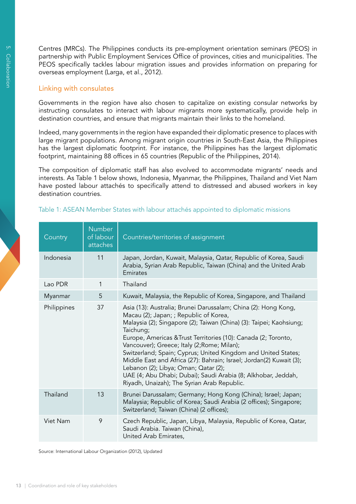Centres (MRCs). The Philippines conducts its pre-employment orientation seminars (PEOS) in partnership with Public Employment Services Office of provinces, cities and municipalities. The PEOS specifically tackles labour migration issues and provides information on preparing for overseas employment (Larga, et al., 2012).

#### Linking with consulates

Governments in the region have also chosen to capitalize on existing consular networks by instructing consulates to interact with labour migrants more systematically, provide help in destination countries, and ensure that migrants maintain their links to the homeland.

Indeed, many governments in the region have expanded their diplomatic presence to places with large migrant populations. Among migrant origin countries in South-East Asia, the Philippines has the largest diplomatic footprint. For instance, the Philippines has the largest diplomatic footprint, maintaining 88 offices in 65 countries (Republic of the Philippines, 2014).

The composition of diplomatic staff has also evolved to accommodate migrants' needs and interests. As Table 1 below shows, Indonesia, Myanmar, the Philippines, Thailand and Viet Nam have posted labour attachés to specifically attend to distressed and abused workers in key destination countries.

| Country     | <b>Number</b><br>of labour<br>attaches | Countries/territories of assignment                                                                                                                                                                                                                                                                                                                                                                                                                                                                                                                                                                           |
|-------------|----------------------------------------|---------------------------------------------------------------------------------------------------------------------------------------------------------------------------------------------------------------------------------------------------------------------------------------------------------------------------------------------------------------------------------------------------------------------------------------------------------------------------------------------------------------------------------------------------------------------------------------------------------------|
| Indonesia   | 11                                     | Japan, Jordan, Kuwait, Malaysia, Qatar, Republic of Korea, Saudi<br>Arabia, Syrian Arab Republic, Taiwan (China) and the United Arab<br>Emirates                                                                                                                                                                                                                                                                                                                                                                                                                                                              |
| Lao PDR     | 1                                      | Thailand                                                                                                                                                                                                                                                                                                                                                                                                                                                                                                                                                                                                      |
| Myanmar     | 5                                      | Kuwait, Malaysia, the Republic of Korea, Singapore, and Thailand                                                                                                                                                                                                                                                                                                                                                                                                                                                                                                                                              |
| Philippines | 37                                     | Asia (13): Australia; Brunei Darussalam; China (2): Hong Kong,<br>Macau (2); Japan; ; Republic of Korea,<br>Malaysia (2); Singapore (2); Taiwan (China) (3): Taipei; Kaohsiung;<br>Taichung;<br>Europe, Americas & Trust Territories (10): Canada (2; Toronto,<br>Vancouver); Greece; Italy (2; Rome; Milan);<br>Switzerland; Spain; Cyprus; United Kingdom and United States;<br>Middle East and Africa (27): Bahrain; Israel; Jordan(2) Kuwait (3);<br>Lebanon (2); Libya; Oman; Qatar (2);<br>UAE (4; Abu Dhabi; Dubai); Saudi Arabia (8; Alkhobar, Jeddah,<br>Riyadh, Unaizah); The Syrian Arab Republic. |
| Thailand    | 13                                     | Brunei Darussalam; Germany; Hong Kong (China); Israel; Japan;<br>Malaysia; Republic of Korea; Saudi Arabia (2 offices); Singapore;<br>Switzerland; Taiwan (China) (2 offices);                                                                                                                                                                                                                                                                                                                                                                                                                                |
| Viet Nam    | 9                                      | Czech Republic, Japan, Libya, Malaysia, Republic of Korea, Qatar,<br>Saudi Arabia. Taiwan (China),<br>United Arab Emirates,                                                                                                                                                                                                                                                                                                                                                                                                                                                                                   |

#### Table 1: ASEAN Member States with labour attachés appointed to diplomatic missions

Source: International Labour Organization (2012), Updated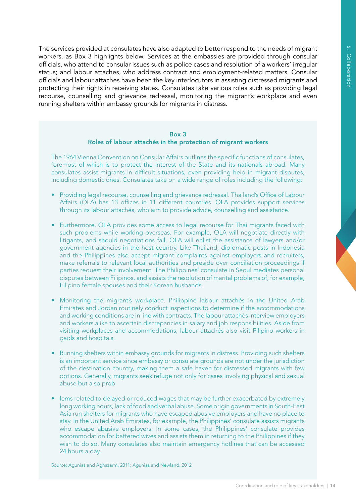The services provided at consulates have also adapted to better respond to the needs of migrant workers, as Box 3 highlights below. Services at the embassies are provided through consular officials, who attend to consular issues such as police cases and resolution of a workers' irregular status; and labour attaches, who address contract and employment-related matters. Consular officials and labour attaches have been the key interlocutors in assisting distressed migrants and protecting their rights in receiving states. Consulates take various roles such as providing legal recourse, counselling and grievance redressal, monitoring the migrant's workplace and even running shelters within embassy grounds for migrants in distress.

#### Box 3 Roles of labour attachés in the protection of migrant workers

The 1964 Vienna Convention on Consular Affairs outlines the specific functions of consulates, foremost of which is to protect the interest of the State and its nationals abroad. Many consulates assist migrants in difficult situations, even providing help in migrant disputes, including domestic ones. Consulates take on a wide range of roles including the following:

- Providing legal recourse, counselling and grievance redressal. Thailand's Office of Labour Affairs (OLA) has 13 offices in 11 different countries. OLA provides support services through its labour attachés, who aim to provide advice, counselling and assistance.
- Furthermore, OLA provides some access to legal recourse for Thai migrants faced with such problems while working overseas. For example, OLA will negotiate directly with litigants, and should negotiations fail, OLA will enlist the assistance of lawyers and/or government agencies in the host country. Like Thailand, diplomatic posts in Indonesia and the Philippines also accept migrant complaints against employers and recruiters, make referrals to relevant local authorities and preside over conciliation proceedings if parties request their involvement. The Philippines' consulate in Seoul mediates personal disputes between Filipinos, and assists the resolution of marital problems of, for example, Filipino female spouses and their Korean husbands.
- Monitoring the migrant's workplace. Philippine labour attachés in the United Arab Emirates and Jordan routinely conduct inspections to determine if the accommodations and working conditions are in line with contracts. The labour attachés interview employers and workers alike to ascertain discrepancies in salary and job responsibilities. Aside from visiting workplaces and accommodations, labour attachés also visit Filipino workers in gaols and hospitals.
- Running shelters within embassy grounds for migrants in distress. Providing such shelters is an important service since embassy or consulate grounds are not under the jurisdiction of the destination country, making them a safe haven for distressed migrants with few options. Generally, migrants seek refuge not only for cases involving physical and sexual abuse but also prob
- lems related to delayed or reduced wages that may be further exacerbated by extremely long working hours, lack of food and verbal abuse. Some origin governments in South-East Asia run shelters for migrants who have escaped abusive employers and have no place to stay. In the United Arab Emirates, for example, the Philippines' consulate assists migrants who escape abusive employers. In some cases, the Philippines' consulate provides accommodation for battered wives and assists them in returning to the Philippines if they wish to do so. Many consulates also maintain emergency hotlines that can be accessed 24 hours a day.

Source: Agunias and Aghazarm, 2011; Agunias and Newland, 2012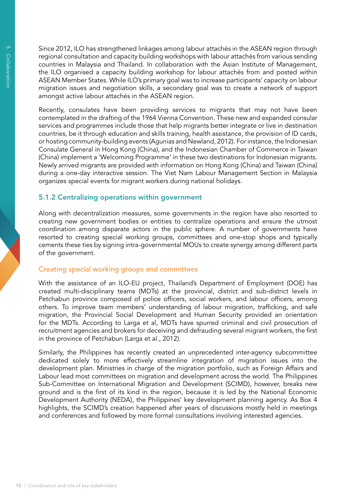Since 2012, ILO has strengthened linkages among labour attachés in the ASEAN region through regional consultation and capacity building workshops with labour attachés from various sending countries in Malaysia and Thailand. In collaboration with the Asian Institute of Management, the ILO organised a capacity building workshop for labour attachés from and posted within ASEAN Member States. While ILO's primary goal was to increase participants' capacity on labour migration issues and negotiation skills, a secondary goal was to create a network of support amongst active labour attachés in the ASEAN region.

Recently, consulates have been providing services to migrants that may not have been contemplated in the drafting of the 1964 Vienna Convention. These new and expanded consular services and programmes include those that help migrants better integrate or live in destination countries, be it through education and skills training, health assistance, the provision of ID cards, or hosting community-building events (Agunias and Newland, 2012). For instance, the Indonesian Consulate General in Hong Kong (China), and the Indonesian Chamber of Commerce in Taiwan (China) implement a 'Welcoming Programme' in these two destinations for Indonesian migrants. Newly arrived migrants are provided with information on Hong Kong (China) and Taiwan (China) during a one-day interactive session. The Viet Nam Labour Management Section in Malaysia organizes special events for migrant workers during national holidays.

## 5.1.2 Centralizing operations within government

Along with decentralization measures, some governments in the region have also resorted to creating new government bodies or entities to centralize operations and ensure the utmost coordination among disparate actors in the public sphere. A number of governments have resorted to creating special working groups, committees and one-stop shops and typically cements these ties by signing intra-governmental MOUs to create synergy among different parts of the government.

## Creating special working groups and committees

With the assistance of an ILO-EU project, Thailand's Department of Employment (DOE) has created multi-disciplinary teams (MDTs) at the provincial, district and sub-district levels in Petchabun province composed of police officers, social workers, and labour officers, among others. To improve team members' understanding of labour migration, trafficking, and safe migration, the Provincial Social Development and Human Security provided an orientation for the MDTs. According to Larga et al, MDTs have spurred criminal and civil prosecution of recruitment agencies and brokers for deceiving and defrauding several migrant workers, the first in the province of Petchabun (Larga et al., 2012).

Similarly, the Philippines has recently created an unprecedented inter-agency subcommittee dedicated solely to more effectively streamline integration of migration issues into the development plan. Ministries in charge of the migration portfolio, such as Foreign Affairs and Labour lead most committees on migration and development across the world. The Philippines Sub-Committee on International Migration and Development (SCIMD), however, breaks new ground and is the first of its kind in the region, because it is led by the National Economic Development Authority (NEDA), the Philippines' key development planning agency. As Box 4 highlights, the SCIMD's creation happened after years of discussions mostly held in meetings and conferences and followed by more formal consultations involving interested agencies.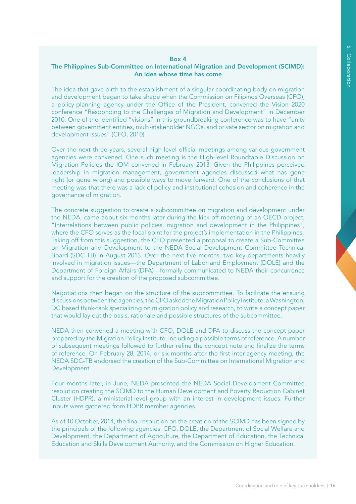#### Box 4

#### The Philippines Sub-Committee on International Migration and Development (SCIMD): An idea whose time has come

The idea that gave birth to the establishment of a singular coordinating body on migration and development began to take shape when the Commission on Filipinos Overseas (CFO), a policy-planning agency under the Office of the President, convened the Vision 2020 conference "Responding to the Challenges of Migration and Development" in December 2010. One of the identified "visions" in this groundbreaking conference was to have "unity between government entities, multi-stakeholder NGOs, and private sector on migration and development issues" (CFO, 2010).

Over the next three years, several high-level official meetings among various government agencies were convened. One such meeting is the High-level Roundtable Discussion on Migration Policies the IOM convened in February 2013. Given the Philippines perceived leadership in migration management, government agencies discussed what has gone right (or gone wrong) and possible ways to move forward. One of the conclusions of that meeting was that there was a lack of policy and institutional cohesion and coherence in the governance of migration.

The concrete suggestion to create a subcommittee on migration and development under the NEDA, came about six months later during the kick-off meeting of an OECD project, "Interrelations between public policies, migration and development in the Philippines", where the CFO serves as the focal point for the project's implementation in the Philippines. Taking off from this suggestion, the CFO presented a proposal to create a Sub-Committee on Migration and Development to the NEDA Social Development Committee Technical Board (SDC-TB) in August 2013. Over the next five months, two key departments heavily involved in migration issues—the Department of Labor and Employment (DOLE) and the Department of Foreign Affairs (DFA)—formally communicated to NEDA their concurrence and support for the creation of the proposed subcommittee.

Negotiations then began on the structure of the subcommittee. To facilitate the ensuing discussions between the agencies, the CFO asked the Migration Policy Institute, a Washington, DC based think-tank specializing on migration policy and research, to write a concept paper that would lay out the basis, rationale and possible structures of the subcommittee.

NEDA then convened a meeting with CFO, DOLE and DFA to discuss the concept paper prepared by the Migration Policy Institute, including a possible terms of reference. A number of subsequent meetings followed to further refine the concept note and finalize the terms of reference. On February 28, 2014, or six months after the first inter-agency meeting, the NEDA SDC-TB endorsed the creation of the Sub-Committee on International Migration and Development.

Four months later, in June, NEDA presented the NEDA Social Development Committee resolution creating the SCIMD to the Human Development and Poverty Reduction Cabinet Cluster (HDPR), a ministerial-level group with an interest in development issues. Further inputs were gathered from HDPR member agencies.

As of 10 October, 2014, the final resolution on the creation of the SCIMD has been signed by the principals of the following agencies: CFO, DOLE, the Department of Social Welfare and Development, the Department of Agriculture, the Department of Education, the Technical Education and Skills Development Authority, and the Commission on Higher Education.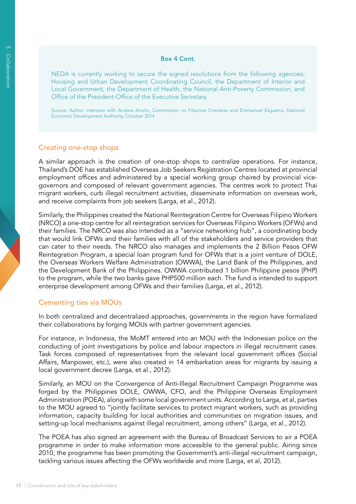#### Box 4 Cont.

NEDA is currently working to secure the signed resolutions from the following agencies: Housing and Urban Development Coordinating Council, the Department of Interior and Local Government, the Department of Health, the National Anti-Poverty Commission, and Office of the President-Office of the Executive Secretary.

Source: Author interview with Andrea Anolin, Commission on Filipinos Overseas and Emmanuel Esguerra, National Economic Development Authority, October 2014

#### Creating one-stop shops

A similar approach is the creation of one-stop shops to centralize operations. For instance, Thailand's DOE has established Overseas Job Seekers Registration Centres located at provincial employment offices and administered by a special working group chaired by provincial vicegovernors and composed of relevant government agencies. The centres work to protect Thai migrant workers, curb illegal recruitment activities, disseminate information on overseas work, and receive complaints from job seekers (Larga, et al., 2012).

Similarly, the Philippines created the National Reintegration Centre for Overseas Filipino Workers (NRCO) a one-stop centre for all reintegration services for Overseas Filipino Workers (OFWs) and their families. The NRCO was also intended as a "service networking hub", a coordinating body that would link OFWs and their families with all of the stakeholders and service providers that can cater to their needs. The NRCO also manages and implements the 2 Billion Pesos OFW Reintegration Program, a special loan program fund for OFWs that is a joint venture of DOLE, the Overseas Workers Welfare Administration (OWWA), the Land Bank of the Philippines, and the Development Bank of the Philippines. OWWA contributed 1 billion Philippine pesos (PHP) to the program, while the two banks gave PHP500 million each. The fund is intended to support enterprise development among OFWs and their families (Larga, et al., 2012).

#### Cementing ties via MOUs

In both centralized and decentralized approaches, governments in the region have formalized their collaborations by forging MOUs with partner government agencies.

For instance, in Indonesia, the MoMT entered into an MOU with the Indonesian police on the conducting of joint investigations by police and labour inspectors in illegal recruitment cases. Task forces composed of representatives from the relevant local government offices (Social Affairs, Manpower, etc.), were also created in 14 embarkation areas for migrants by issuing a local government decree (Larga, et al., 2012).

Similarly, an MOU on the Convergence of Anti-Illegal Recruitment Campaign Programme was forged by the Philippines DOLE, OWWA, CFO, and the Philippine Overseas Employment Administration (POEA), along with some local government units. According to Larga, et al, parties to the MOU agreed to "jointly facilitate services to protect migrant workers, such as providing information, capacity building for local authorities and communities on migration issues, and setting-up local mechanisms against illegal recruitment, among others" (Larga, et al., 2012).

The POEA has also signed an agreement with the Bureau of Broadcast Services to air a POEA programme in order to make information more accessible to the general public. Airing since 2010, the programme has been promoting the Government's anti-illegal recruitment campaign, tackling various issues affecting the OFWs worldwide and more (Larga, et al, 2012).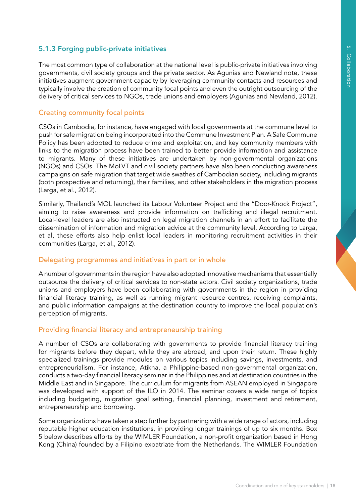# 5.1.3 Forging public-private initiatives

The most common type of collaboration at the national level is public-private initiatives involving governments, civil society groups and the private sector. As Agunias and Newland note, these initiatives augment government capacity by leveraging community contacts and resources and typically involve the creation of community focal points and even the outright outsourcing of the delivery of critical services to NGOs, trade unions and employers (Agunias and Newland, 2012).

## Creating community focal points

CSOs in Cambodia, for instance, have engaged with local governments at the commune level to push for safe migration being incorporated into the Commune Investment Plan. A Safe Commune Policy has been adopted to reduce crime and exploitation, and key community members with links to the migration process have been trained to better provide information and assistance to migrants. Many of these initiatives are undertaken by non-governmental organizations (NGOs) and CSOs. The MoLVT and civil society partners have also been conducting awareness campaigns on safe migration that target wide swathes of Cambodian society, including migrants (both prospective and returning), their families, and other stakeholders in the migration process (Larga, et al., 2012).

Similarly, Thailand's MOL launched its Labour Volunteer Project and the "Door-Knock Project", aiming to raise awareness and provide information on trafficking and illegal recruitment. Local-level leaders are also instructed on legal migration channels in an effort to facilitate the dissemination of information and migration advice at the community level. According to Larga, et al, these efforts also help enlist local leaders in monitoring recruitment activities in their communities (Larga, et al., 2012).

## Delegating programmes and initiatives in part or in whole

A number of governments in the region have also adopted innovative mechanisms that essentially outsource the delivery of critical services to non-state actors. Civil society organizations, trade unions and employers have been collaborating with governments in the region in providing financial literacy training, as well as running migrant resource centres, receiving complaints, and public information campaigns at the destination country to improve the local population's perception of migrants.

## Providing financial literacy and entrepreneurship training

A number of CSOs are collaborating with governments to provide financial literacy training for migrants before they depart, while they are abroad, and upon their return. These highly specialized trainings provide modules on various topics including savings, investments, and entrepreneurialism. For instance, Atikha, a Philippine-based non-governmental organization, conducts a two-day financial literacy seminar in the Philippines and at destination countries in the Middle East and in Singapore. The curriculum for migrants from ASEAN employed in Singapore was developed with support of the ILO in 2014. The seminar covers a wide range of topics including budgeting, migration goal setting, financial planning, investment and retirement, entrepreneurship and borrowing.

Some organizations have taken a step further by partnering with a wide range of actors, including reputable higher education institutions, in providing longer trainings of up to six months. Box 5 below describes efforts by the WIMLER Foundation, a non-profit organization based in Hong Kong (China) founded by a Filipino expatriate from the Netherlands. The WIMLER Foundation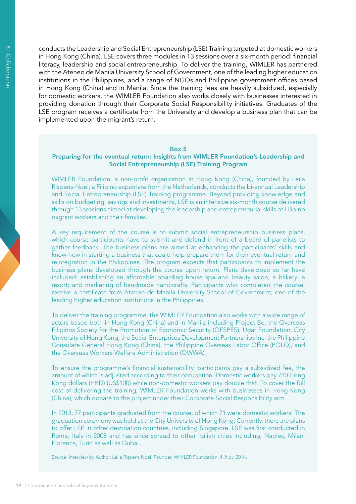conducts the Leadership and Social Entrepreneurship (LSE) Training targeted at domestic workers in Hong Kong (China). LSE covers three modules in 13 sessions over a six-month period: financial literacy, leadership and social entrepreneurship. To deliver the training, WIMLER has partnered with the Ateneo de Manila University School of Government, one of the leading higher education institutions in the Philippines, and a range of NGOs and Philippine government offices based in Hong Kong (China) and in Manila. Since the training fees are heavily subsidized, especially for domestic workers, the WIMLER Foundation also works closely with businesses interested in providing donation through their Corporate Social Responsibility initiatives. Graduates of the LSE program receives a certificate from the University and develop a business plan that can be implemented upon the migrant's return.

#### Box 5

#### Preparing for the eventual return: Insights from WIMLER Foundation's Leadership and Social Entrepreneurship (LSE) Training Program

WIMLER Foundation, a non-profit organization in Hong Kong (China), founded by Leila Rispens-Noel, a Filipino expatriate from the Netherlands, conducts the bi-annual Leadership and Social Entrepreneurship (LSE) Training programme. Beyond providing knowledge and skills on budgeting, savings and investments, LSE is an intensive six-month course delivered through 13 sessions aimed at developing the leadership and entrepreneurial skills of Filipino migrant workers and their families.

A key requirement of the course is to submit social entrepreneurship business plans, which course participants have to submit and defend in front of a board of panelists to gather feedback. The business plans are aimed at enhancing the participants' skills and know-how in starting a business that could help prepare them for their eventual return and reintegration in the Philippines. The program expects that participants to implement the business plans developed through the course upon return. Plans developed so far have included: establishing an affordable boarding house spa and beauty salon; a bakery; a resort; and marketing of handmade handicrafts. Participants who completed the course, receive a certificate from Ateneo de Manila University School of Government, one of the leading higher education institutions in the Philippines.

To deliver the training programme, the WIMLER Foundation also works with a wide range of actors based both in Hong Kong (China) and in Manila including Project Be, the Overseas Filipinos Society for the Promotion of Economic Security (OFSPES), Ugat Foundation, City University of Hong Kong, the Social Enterprises Development Partnerships Inc. the Philippine Consulate General Hong Kong (China), the Philippine Overseas Labor Office (POLO), and the Overseas Workers Welfare Administration (OWWA).

To ensure the programme's financial sustainability, participants pay a subsidized fee, the amount of which is adjusted according to their occupation. Domestic workers pay 780 Hong Kong dollars (HKD) (US\$100) while non-domestic workers pay double that. To cover the full cost of delivering the training, WIMLER Foundation works with businesses in Hong Kong (China), which donate to the project under their Corporate Social Responsibility arm.

In 2013, 77 participants graduated from the course, of which 71 were domestic workers. The graduation ceremony was held at the City University of Hong Kong. Currently, there are plans to offer LSE in other destination countries, including Singapore. LSE was first conducted in Rome, Italy in 2008 and has since spread to other Italian cities including, Naples, Milan, Florence, Turin as well as Dubai.

Source: Interview by Author, Leila Rispens Noel, Founder, WIMLER Foundation, 4. Nov. 2014.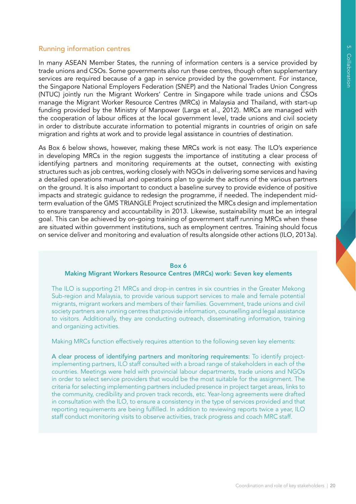## Running information centres

In many ASEAN Member States, the running of information centers is a service provided by trade unions and CSOs. Some governments also run these centres, though often supplementary services are required because of a gap in service provided by the government. For instance, the Singapore National Employers Federation (SNEP) and the National Trades Union Congress (NTUC) jointly run the Migrant Workers' Centre in Singapore while trade unions and CSOs manage the Migrant Worker Resource Centres (MRCs) in Malaysia and Thailand, with start-up funding provided by the Ministry of Manpower (Larga et al., 2012). MRCs are managed with the cooperation of labour offices at the local government level, trade unions and civil society in order to distribute accurate information to potential migrants in countries of origin on safe migration and rights at work and to provide legal assistance in countries of destination.

As Box 6 below shows, however, making these MRCs work is not easy. The ILO's experience in developing MRCs in the region suggests the importance of instituting a clear process of identifying partners and monitoring requirements at the outset, connecting with existing structures such as job centres, working closely with NGOs in delivering some services and having a detailed operations manual and operations plan to guide the actions of the various partners on the ground. It is also important to conduct a baseline survey to provide evidence of positive impacts and strategic guidance to redesign the programme, if needed. The independent midterm evaluation of the GMS TRIANGLE Project scrutinized the MRCs design and implementation to ensure transparency and accountability in 2013. Likewise, sustainability must be an integral goal. This can be achieved by on-going training of government staff running MRCs when these are situated within government institutions, such as employment centres. Training should focus on service deliver and monitoring and evaluation of results alongside other actions (ILO, 2013a).

#### Box 6

#### Making Migrant Workers Resource Centres (MRCs) work: Seven key elements

The ILO is supporting 21 MRCs and drop-in centres in six countries in the Greater Mekong Sub-region and Malaysia, to provide various support services to male and female potential migrants, migrant workers and members of their families. Government, trade unions and civil society partners are running centres that provide information, counselling and legal assistance to visitors. Additionally, they are conducting outreach, disseminating information, training and organizing activities.

Making MRCs function effectively requires attention to the following seven key elements:

A clear process of identifying partners and monitoring requirements: To identify projectimplementing partners, ILO staff consulted with a broad range of stakeholders in each of the countries. Meetings were held with provincial labour departments, trade unions and NGOs in order to select service providers that would be the most suitable for the assignment. The criteria for selecting implementing partners included presence in project target areas, links to the community, credibility and proven track records, etc. Year-long agreements were drafted in consultation with the ILO, to ensure a consistency in the type of services provided and that reporting requirements are being fulfilled. In addition to reviewing reports twice a year, ILO staff conduct monitoring visits to observe activities, track progress and coach MRC staff.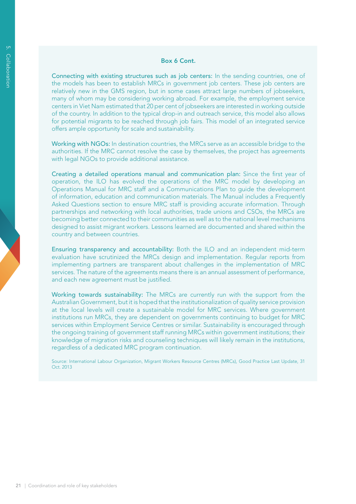#### Box 6 Cont.

Connecting with existing structures such as job centers: In the sending countries, one of the models has been to establish MRCs in government job centers. These job centers are relatively new in the GMS region, but in some cases attract large numbers of jobseekers, many of whom may be considering working abroad. For example, the employment service centers in Viet Nam estimated that 20 per cent of jobseekers are interested in working outside of the country. In addition to the typical drop-in and outreach service, this model also allows for potential migrants to be reached through job fairs. This model of an integrated service offers ample opportunity for scale and sustainability.

Working with NGOs: In destination countries, the MRCs serve as an accessible bridge to the authorities. If the MRC cannot resolve the case by themselves, the project has agreements with legal NGOs to provide additional assistance.

Creating a detailed operations manual and communication plan: Since the first year of operation, the ILO has evolved the operations of the MRC model by developing an Operations Manual for MRC staff and a Communications Plan to guide the development of information, education and communication materials. The Manual includes a Frequently Asked Questions section to ensure MRC staff is providing accurate information. Through partnerships and networking with local authorities, trade unions and CSOs, the MRCs are becoming better connected to their communities as well as to the national level mechanisms designed to assist migrant workers. Lessons learned are documented and shared within the country and between countries.

Ensuring transparency and accountability: Both the ILO and an independent mid-term evaluation have scrutinized the MRCs design and implementation. Regular reports from implementing partners are transparent about challenges in the implementation of MRC services. The nature of the agreements means there is an annual assessment of performance, and each new agreement must be justified.

Working towards sustainability: The MRCs are currently run with the support from the Australian Government, but it is hoped that the institutionalization of quality service provision at the local levels will create a sustainable model for MRC services. Where government institutions run MRCs, they are dependent on governments continuing to budget for MRC services within Employment Service Centres or similar. Sustainability is encouraged through the ongoing training of government staff running MRCs within government institutions; their knowledge of migration risks and counseling techniques will likely remain in the institutions, regardless of a dedicated MRC program continuation.

Source: International Labour Organization, Migrant Workers Resource Centres (MRCs), Good Practice Last Update, 31 Oct. 2013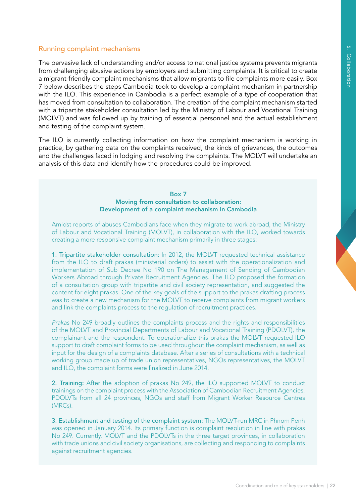## Running complaint mechanisms

The pervasive lack of understanding and/or access to national justice systems prevents migrants from challenging abusive actions by employers and submitting complaints. It is critical to create a migrant-friendly complaint mechanisms that allow migrants to file complaints more easily. Box 7 below describes the steps Cambodia took to develop a complaint mechanism in partnership with the ILO. This experience in Cambodia is a perfect example of a type of cooperation that has moved from consultation to collaboration. The creation of the complaint mechanism started with a tripartite stakeholder consultation led by the Ministry of Labour and Vocational Training (MOLVT) and was followed up by training of essential personnel and the actual establishment and testing of the complaint system.

The ILO is currently collecting information on how the complaint mechanism is working in practice, by gathering data on the complaints received, the kinds of grievances, the outcomes and the challenges faced in lodging and resolving the complaints. The MOLVT will undertake an analysis of this data and identify how the procedures could be improved.

#### Box 7 Moving from consultation to collaboration: Development of a complaint mechanism in Cambodia

Amidst reports of abuses Cambodians face when they migrate to work abroad, the Ministry of Labour and Vocational Training (MOLVT), in collaboration with the ILO, worked towards creating a more responsive complaint mechanism primarily in three stages:

1. Tripartite stakeholder consultation: In 2012, the MOLVT requested technical assistance from the ILO to draft prakas (ministerial orders) to assist with the operationalization and implementation of Sub Decree No 190 on The Management of Sending of Cambodian Workers Abroad through Private Recruitment Agencies. The ILO proposed the formation of a consultation group with tripartite and civil society representation, and suggested the content for eight prakas. One of the key goals of the support to the prakas drafting process was to create a new mechanism for the MOLVT to receive complaints from migrant workers and link the complaints process to the regulation of recruitment practices.

*Prakas* No 249 broadly outlines the complaints process and the rights and responsibilities of the MOLVT and Provincial Departments of Labour and Vocational Training (PDOLVT), the complainant and the respondent. To operationalize this prakas the MOLVT requested ILO support to draft complaint forms to be used throughout the complaint mechanism, as well as input for the design of a complaints database. After a series of consultations with a technical working group made up of trade union representatives, NGOs representatives, the MOLVT and ILO, the complaint forms were finalized in June 2014.

2. Training: After the adoption of prakas No 249, the ILO supported MOLVT to conduct trainings on the complaint process with the Association of Cambodian Recruitment Agencies, PDOLVTs from all 24 provinces, NGOs and staff from Migrant Worker Resource Centres (MRCs).

3. Establishment and testing of the complaint system: The MOLVT-run MRC in Phnom Penh was opened in January 2014. Its primary function is complaint resolution in line with prakas No 249. Currently, MOLVT and the PDOLVTs in the three target provinces, in collaboration with trade unions and civil society organisations, are collecting and responding to complaints against recruitment agencies.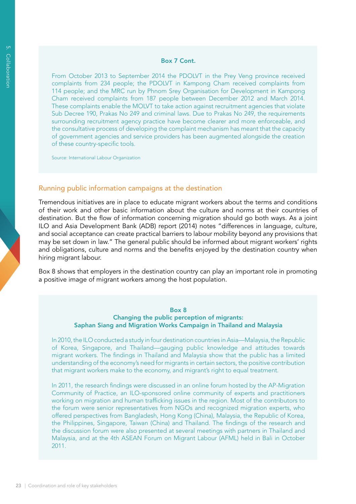#### Box 7 Cont.

From October 2013 to September 2014 the PDOLVT in the Prey Veng province received complaints from 234 people; the PDOLVT in Kampong Cham received complaints from 114 people; and the MRC run by Phnom Srey Organisation for Development in Kampong Cham received complaints from 187 people between December 2012 and March 2014. These complaints enable the MOLVT to take action against recruitment agencies that violate Sub Decree 190, Prakas No 249 and criminal laws. Due to Prakas No 249, the requirements surrounding recruitment agency practice have become clearer and more enforceable, and the consultative process of developing the complaint mechanism has meant that the capacity of government agencies and service providers has been augmented alongside the creation of these country-specific tools.

Source: International Labour Organization

#### Running public information campaigns at the destination

Tremendous initiatives are in place to educate migrant workers about the terms and conditions of their work and other basic information about the culture and norms at their countries of destination. But the flow of information concerning migration should go both ways. As a joint ILO and Asia Development Bank (ADB) report (2014) notes "differences in language, culture, and social acceptance can create practical barriers to labour mobility beyond any provisions that may be set down in law." The general public should be informed about migrant workers' rights and obligations, culture and norms and the benefits enjoyed by the destination country when hiring migrant labour.

Box 8 shows that employers in the destination country can play an important role in promoting a positive image of migrant workers among the host population.

#### Box 8

#### Changing the public perception of migrants: Saphan Siang and Migration Works Campaign in Thailand and Malaysia

In 2010, the ILO conducted a study in four destination countries in Asia—Malaysia, the Republic of Korea, Singapore, and Thailand—gauging public knowledge and attitudes towards migrant workers. The findings in Thailand and Malaysia show that the public has a limited understanding of the economy's need for migrants in certain sectors, the positive contribution that migrant workers make to the economy, and migrant's right to equal treatment.

In 2011, the research findings were discussed in an online forum hosted by the AP-Migration Community of Practice, an ILO-sponsored online community of experts and practitioners working on migration and human trafficking issues in the region. Most of the contributors to the forum were senior representatives from NGOs and recognized migration experts, who offered perspectives from Bangladesh, Hong Kong (China), Malaysia, the Republic of Korea, the Philippines, Singapore, Taiwan (China) and Thailand. The findings of the research and the discussion forum were also presented at several meetings with partners in Thailand and Malaysia, and at the 4th ASEAN Forum on Migrant Labour (AFML) held in Bali in October 2011.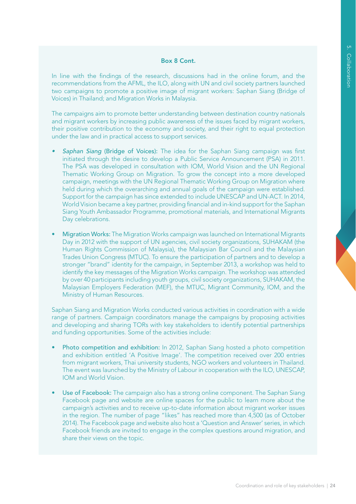#### Box 8 Cont.

In line with the findings of the research, discussions had in the online forum, and the recommendations from the AFML, the ILO, along with UN and civil society partners launched two campaigns to promote a positive image of migrant workers: Saphan Siang (Bridge of Voices) in Thailand; and Migration Works in Malaysia.

The campaigns aim to promote better understanding between destination country nationals and migrant workers by increasing public awareness of the issues faced by migrant workers, their positive contribution to the economy and society, and their right to equal protection under the law and in practical access to support services.

- Saphan Siang (Bridge of Voices): The idea for the Saphan Siang campaign was first initiated through the desire to develop a Public Service Announcement (PSA) in 2011. The PSA was developed in consultation with IOM, World Vision and the UN Regional Thematic Working Group on Migration. To grow the concept into a more developed campaign, meetings with the UN Regional Thematic Working Group on Migration where held during which the overarching and annual goals of the campaign were established. Support for the campaign has since extended to include UNESCAP and UN-ACT. In 2014, World Vision became a key partner, providing financial and in-kind support for the Saphan Siang Youth Ambassador Programme, promotional materials, and International Migrants Day celebrations.
- Migration Works: The Migration Works campaign was launched on International Migrants Day in 2012 with the support of UN agencies, civil society organizations, SUHAKAM (the Human Rights Commission of Malaysia), the Malaysian Bar Council and the Malaysian Trades Union Congress (MTUC). To ensure the participation of partners and to develop a stronger "brand" identity for the campaign, in September 2013, a workshop was held to identify the key messages of the Migration Works campaign. The workshop was attended by over 40 participants including youth groups, civil society organizations, SUHAKAM, the Malaysian Employers Federation (MEF), the MTUC, Migrant Community, IOM, and the Ministry of Human Resources.

Saphan Siang and Migration Works conducted various activities in coordination with a wide range of partners. Campaign coordinators manage the campaigns by proposing activities and developing and sharing TORs with key stakeholders to identify potential partnerships and funding opportunities. Some of the activities include:

- Photo competition and exhibition: In 2012, Saphan Siang hosted a photo competition and exhibition entitled 'A Positive Image'. The competition received over 200 entries from migrant workers, Thai university students, NGO workers and volunteers in Thailand. The event was launched by the Ministry of Labour in cooperation with the ILO, UNESCAP, IOM and World Vision.
- Use of Facebook: The campaign also has a strong online component. The Saphan Siang Facebook page and website are online spaces for the public to learn more about the campaign's activities and to receive up-to-date information about migrant worker issues in the region. The number of page "likes" has reached more than 4,500 (as of October 2014). The Facebook page and website also host a 'Question and Answer' series, in which Facebook friends are invited to engage in the complex questions around migration, and share their views on the topic.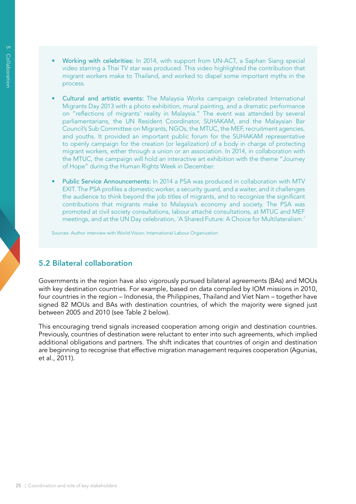- Working with celebrities: In 2014, with support from UN-ACT, a Saphan Siang special video starring a Thai TV star was produced. This video highlighted the contribution that migrant workers make to Thailand, and worked to dispel some important myths in the process.
- Cultural and artistic events: The Malaysia Works campaign celebrated International Migrants Day 2013 with a photo exhibition, mural painting, and a dramatic performance on "reflections of migrants' reality in Malaysia." The event was attended by several parliamentarians, the UN Resident Coordinator, SUHAKAM, and the Malaysian Bar Council's Sub Committee on Migrants, NGOs, the MTUC, the MEF, recruitment agencies, and youths. It provided an important public forum for the SUHAKAM representative to openly campaign for the creation (or legalization) of a body in charge of protecting migrant workers, either through a union or an association. In 2014, in collaboration with the MTUC, the campaign will hold an interactive art exhibition with the theme "Journey of Hope" during the Human Rights Week in December.
- Public Service Announcements: In 2014 a PSA was produced in collaboration with MTV EXIT. The PSA profiles a domestic worker, a security guard, and a waiter, and it challenges the audience to think beyond the job titles of migrants, and to recognize the significant contributions that migrants make to Malaysia's economy and society. The PSA was promoted at civil society consultations, labour attaché consultations, at MTUC and MEF meetings, and at the UN Day celebration, 'A Shared Future: A Choice for Multilateralism.'

Sources: Author interview with World Vision; International Labour Organization

# 5.2 Bilateral collaboration

Governments in the region have also vigorously pursued bilateral agreements (BAs) and MOUs with key destination countries. For example, based on data compiled by IOM missions in 2010, four countries in the region – Indonesia, the Philippines, Thailand and Viet Nam – together have signed 82 MOUs and BAs with destination countries, of which the majority were signed just between 2005 and 2010 (see Table 2 below).

This encouraging trend signals increased cooperation among origin and destination countries. Previously, countries of destination were reluctant to enter into such agreements, which implied additional obligations and partners. The shift indicates that countries of origin and destination are beginning to recognise that effective migration management requires cooperation (Agunias, et al., 2011).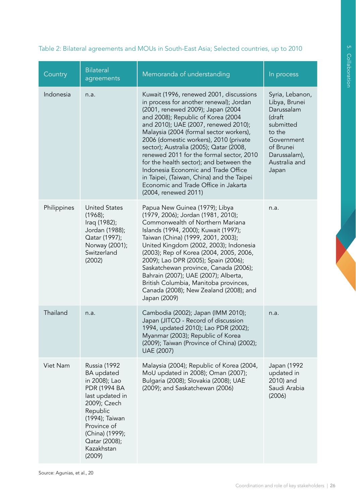| Country     | <b>Bilateral</b><br>agreements                                                                                                                                                                                        | Memoranda of understanding                                                                                                                                                                                                                                                                                                                                                                                                                                                                                                                                                       | In process                                                                                                                                           |
|-------------|-----------------------------------------------------------------------------------------------------------------------------------------------------------------------------------------------------------------------|----------------------------------------------------------------------------------------------------------------------------------------------------------------------------------------------------------------------------------------------------------------------------------------------------------------------------------------------------------------------------------------------------------------------------------------------------------------------------------------------------------------------------------------------------------------------------------|------------------------------------------------------------------------------------------------------------------------------------------------------|
| Indonesia   | n.a.                                                                                                                                                                                                                  | Kuwait (1996, renewed 2001, discussions<br>in process for another renewal); Jordan<br>(2001, renewed 2009); Japan (2004<br>and 2008); Republic of Korea (2004<br>and 2010); UAE (2007, renewed 2010);<br>Malaysia (2004 (formal sector workers),<br>2006 (domestic workers), 2010 (private<br>sector); Australia (2005); Qatar (2008,<br>renewed 2011 for the formal sector, 2010<br>for the health sector); and between the<br>Indonesia Economic and Trade Office<br>in Taipei, (Taiwan, China) and the Taipei<br>Economic and Trade Office in Jakarta<br>(2004, renewed 2011) | Syria, Lebanon,<br>Libya, Brunei<br>Darussalam<br>(draft<br>submitted<br>to the<br>Government<br>of Brunei<br>Darussalam),<br>Australia and<br>Japan |
| Philippines | <b>United States</b><br>(1968);<br>Iraq (1982);<br>Jordan (1988);<br>Qatar (1997);<br>Norway (2001);<br>Switzerland<br>(2002)                                                                                         | Papua New Guinea (1979); Libya<br>(1979, 2006); Jordan (1981, 2010);<br>Commonwealth of Northern Mariana<br>Islands (1994, 2000); Kuwait (1997);<br>Taiwan (China) (1999, 2001, 2003);<br>United Kingdom (2002, 2003); Indonesia<br>(2003); Rep of Korea (2004, 2005, 2006,<br>2009); Lao DPR (2005); Spain (2006);<br>Saskatchewan province, Canada (2006);<br>Bahrain (2007); UAE (2007); Alberta,<br>British Columbia, Manitoba provinces,<br>Canada (2008); New Zealand (2008); and<br>Japan (2009)                                                                          | n.a.                                                                                                                                                 |
| Thailand    | n.a.                                                                                                                                                                                                                  | Cambodia (2002); Japan (IMM 2010);<br>Japan (JITCO - Record of discussion<br>1994, updated 2010); Lao PDR (2002);<br>Myanmar (2003); Republic of Korea<br>(2009); Taiwan (Province of China) (2002);<br>UAE (2007)                                                                                                                                                                                                                                                                                                                                                               | n.a.                                                                                                                                                 |
| Viet Nam    | Russia (1992<br><b>BA</b> updated<br>in 2008); Lao<br><b>PDR (1994 BA</b><br>last updated in<br>2009); Czech<br>Republic<br>(1994); Taiwan<br>Province of<br>(China) (1999);<br>Qatar (2008);<br>Kazakhstan<br>(2009) | Malaysia (2004); Republic of Korea (2004,<br>MoU updated in 2008); Oman (2007);<br>Bulgaria (2008); Slovakia (2008); UAE<br>(2009); and Saskatchewan (2006)                                                                                                                                                                                                                                                                                                                                                                                                                      | Japan (1992<br>updated in<br>2010) and<br>Saudi Arabia<br>(2006)                                                                                     |

# Table 2: Bilateral agreements and MOUs in South-East Asia; Selected countries, up to 2010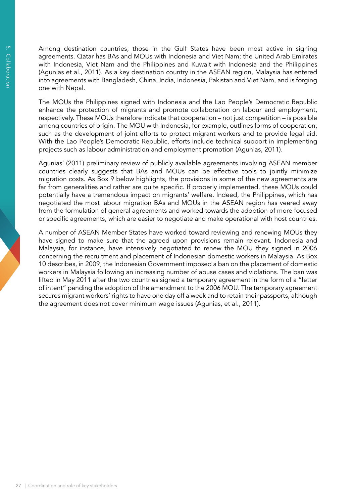Among destination countries, those in the Gulf States have been most active in signing agreements. Qatar has BAs and MOUs with Indonesia and Viet Nam; the United Arab Emirates with Indonesia, Viet Nam and the Philippines and Kuwait with Indonesia and the Philippines (Agunias et al., 2011). As a key destination country in the ASEAN region, Malaysia has entered into agreements with Bangladesh, China, India, Indonesia, Pakistan and Viet Nam, and is forging one with Nepal.

The MOUs the Philippines signed with Indonesia and the Lao People's Democratic Republic enhance the protection of migrants and promote collaboration on labour and employment, respectively. These MOUs therefore indicate that cooperation – not just competition – is possible among countries of origin. The MOU with Indonesia, for example, outlines forms of cooperation, such as the development of joint efforts to protect migrant workers and to provide legal aid. With the Lao People's Democratic Republic, efforts include technical support in implementing projects such as labour administration and employment promotion (Agunias, 2011).

Agunias' (2011) preliminary review of publicly available agreements involving ASEAN member countries clearly suggests that BAs and MOUs can be effective tools to jointly minimize migration costs. As Box 9 below highlights, the provisions in some of the new agreements are far from generalities and rather are quite specific. If properly implemented, these MOUs could potentially have a tremendous impact on migrants' welfare. Indeed, the Philippines, which has negotiated the most labour migration BAs and MOUs in the ASEAN region has veered away from the formulation of general agreements and worked towards the adoption of more focused or specific agreements, which are easier to negotiate and make operational with host countries.

A number of ASEAN Member States have worked toward reviewing and renewing MOUs they have signed to make sure that the agreed upon provisions remain relevant. Indonesia and Malaysia, for instance, have intensively negotiated to renew the MOU they signed in 2006 concerning the recruitment and placement of Indonesian domestic workers in Malaysia. As Box 10 describes, in 2009, the Indonesian Government imposed a ban on the placement of domestic workers in Malaysia following an increasing number of abuse cases and violations. The ban was lifted in May 2011 after the two countries signed a temporary agreement in the form of a "letter of intent" pending the adoption of the amendment to the 2006 MOU. The temporary agreement secures migrant workers' rights to have one day off a week and to retain their passports, although the agreement does not cover minimum wage issues (Agunias, et al., 2011).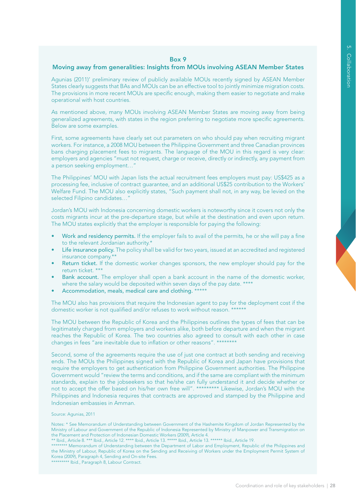#### Box 9

#### Moving away from generalities: Insights from MOUs involving ASEAN Member States

Agunias (2011)' preliminary review of publicly available MOUs recently signed by ASEAN Member States clearly suggests that BAs and MOUs can be an effective tool to jointly minimize migration costs. The provisions in more recent MOUs are specific enough, making them easier to negotiate and make operational with host countries.

As mentioned above, many MOUs involving ASEAN Member States are moving away from being generalized agreements, with states in the region preferring to negotiate more specific agreements. Below are some examples.

First, some agreements have clearly set out parameters on who should pay when recruiting migrant workers. For instance, a 2008 MOU between the Philippine Government and three Canadian provinces bans charging placement fees to migrants. The language of the MOU in this regard is very clear: employers and agencies "must not request, charge or receive, directly or indirectly, any payment from a person seeking employment…"

The Philippines' MOU with Japan lists the actual recruitment fees employers must pay: US\$425 as a processing fee, inclusive of contract guarantee, and an additional US\$25 contribution to the Workers' Welfare Fund. The MOU also explicitly states, "Such payment shall not, in any way, be levied on the selected Filipino candidates…"

Jordan's MOU with Indonesia concerning domestic workers is noteworthy since it covers not only the costs migrants incur at the pre-departure stage, but while at the destination and even upon return. The MOU states explicitly that the employer is responsible for paying the following:

- Work and residency permits. If the employer fails to avail of the permits, he or she will pay a fine to the relevant Jordanian authority.\*
- Life insurance policy. The policy shall be valid for two years, issued at an accredited and registered insurance company.\*\*
- Return ticket. If the domestic worker changes sponsors, the new employer should pay for the return ticket. \*
- **Bank account.** The employer shall open a bank account in the name of the domestic worker, where the salary would be deposited within seven days of the pay date. \*
- Accommodation, meals, medical care and clothing. \*

The MOU also has provisions that require the Indonesian agent to pay for the deployment cost if the domestic worker is not qualified and/or refuses to work without reason. \*

The MOU between the Republic of Korea and the Philippines outlines the types of fees that can be legitimately charged from employers and workers alike, both before departure and when the migrant reaches the Republic of Korea. The two countries also agreed to consult with each other in case changes in fees "are inevitable due to inflation or other reasons". \*

Second, some of the agreements require the use of just one contract at both sending and receiving ends. The MOUs the Philippines signed with the Republic of Korea and Japan have provisions that require the employers to get authentication from Philippine Government authorities. The Philippine Government would "review the terms and conditions, and if the same are compliant with the minimum standards, explain to the jobseekers so that he/she can fully understand it and decide whether or not to accept the offer based on his/her own free will". \*\*\*\*\*\*\*\*\* Likewise, Jordan's MOU with the Philippines and Indonesia requires that contracts are approved and stamped by the Philippine and Indonesian embassies in Amman.

#### Source: Agunias, 2011

Notes: \* See Memorandum of Understanding between Government of the Hashemite Kingdom of Jordan Represented by the Ministry of Labour and Government of the Republic of Indonesia Represented by Ministry of Manpower and Transmigration on the Placement and Protection of Indonesian Domestic Workers (2009), Article 4.

\*\*\*\*\*\*\*\* Memorandum of Understanding between the Department of Labor and Employment, Republic of the Philippines and the Ministry of Labour, Republic of Korea on the Sending and Receiving of Workers under the Employment Permit System of Korea (2009), Paragraph 4, Sending and On-site Fees. \*\*\*\*\*\*\*\*\* Ibid., Paragraph 8, Labour Contract.

<sup>\*\*</sup> Ibid., Article 8. \*\*\* Ibid., Article 12. \*\*\*\* Ibid., Article 13. \*\*\*\*\* Ibid., Article 13. \*\*\*\*\*\* Ibid., Article 19.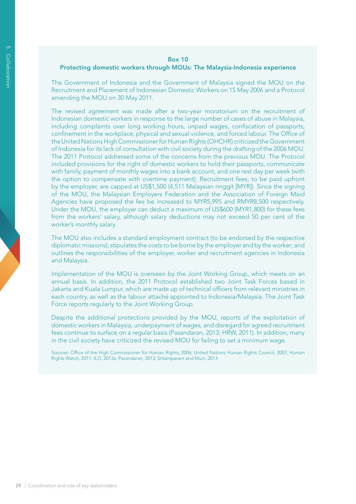# 5. CollaborationCollaboration

#### Box 10

#### Protecting domestic workers through MOUs: The Malaysia-Indonesia experience

The Government of Indonesia and the Government of Malaysia signed the MOU on the Recruitment and Placement of Indonesian Domestic Workers on 15 May 2006 and a Protocol amending the MOU on 30 May 2011.

The revised agreement was made after a two-year moratorium on the recruitment of Indonesian domestic workers in response to the large number of cases of abuse in Malaysia, including complaints over long working hours, unpaid wages, confiscation of passports, confinement in the workplace, physical and sexual violence, and forced labour. The Office of the United Nations High Commissioner for Human Rights (OHCHR) criticized the Government of Indonesia for its lack of consultation with civil society during the drafting of the 2006 MOU. The 2011 Protocol addressed some of the concerns from the previous MOU. The Protocol included provisions for the right of domestic workers to hold their passports, communicate with family, payment of monthly wages into a bank account, and one rest day per week (with the option to compensate with overtime payment). Recruitment fees, to be paid upfront by the employer, are capped at US\$1,500 (4,511 Malaysian ringgit [MYR]). Since the signing of the MOU, the Malaysian Employers Federation and the Association of Foreign Maid Agencies have proposed the fee be increased to MYR5,995 and RMYR8,500 respectively. Under the MOU, the employer can deduct a maximum of US\$600 (MYR1,800) for these fees from the workers' salary, although salary deductions may not exceed 50 per cent of the worker's monthly salary.

The MOU also includes a standard employment contract (to be endorsed by the respective diplomatic missions); stipulates the costs to be borne by the employer and by the worker; and outlines the responsibilities of the employer, worker and recruitment agencies in Indonesia and Malaysia.

Implementation of the MOU is overseen by the Joint Working Group, which meets on an annual basis. In addition, the 2011 Protocol established two Joint Task Forces based in Jakarta and Kuala Lumpur, which are made up of technical officers from relevant ministries in each country, as well as the labour attaché appointed to Indonesia/Malaysia. The Joint Task Force reports regularly to the Joint Working Group.

Despite the additional protections provided by the MOU, reports of the exploitation of domestic workers in Malaysia, underpayment of wages, and disregard for agreed recruitment fees continue to surface on a regular basis (Pasandaran, 2013; HRW, 2011). In addition, many in the civil society have criticized the revised MOU for failing to set a minimum wage.

Sources: Office of the High Commissioner for Human Rights, 2006; United Nations Human Rights Council, 2007; Human Rights Watch, 2011; ILO, 2013a; Pasandaran, 2013; Sittamparam and Muin, 2013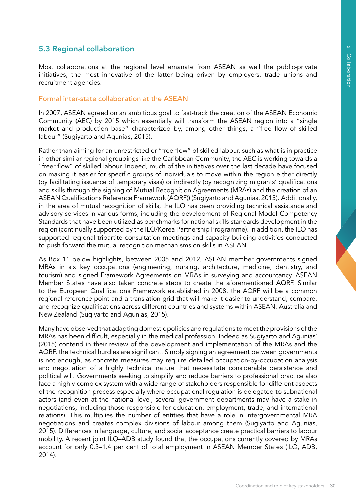# 5.3 Regional collaboration

Most collaborations at the regional level emanate from ASEAN as well the public-private initiatives, the most innovative of the latter being driven by employers, trade unions and recruitment agencies.

## Formal inter-state collaboration at the ASEAN

In 2007, ASEAN agreed on an ambitious goal to fast-track the creation of the ASEAN Economic Community (AEC) by 2015 which essentially will transform the ASEAN region into a "single market and production base" characterized by, among other things, a "free flow of skilled labour" (Sugiyarto and Agunias, 2015).

Rather than aiming for an unrestricted or "free flow" of skilled labour, such as what is in practice in other similar regional groupings like the Caribbean Community, the AEC is working towards a "freer flow" of skilled labour. Indeed, much of the initiatives over the last decade have focused on making it easier for specific groups of individuals to move within the region either directly (by facilitating issuance of temporary visas) or indirectly (by recognizing migrants' qualifications and skills through the signing of Mutual Recognition Agreements (MRAs) and the creation of an ASEAN Qualifications Reference Framework (AQRF)) (Sugiyarto and Agunias, 2015). Additionally, in the area of mutual recognition of skills, the ILO has been providing technical assistance and advisory services in various forms, including the development of Regional Model Competency Standards that have been utilized as benchmarks for national skills standards development in the region (continually supported by the ILO/Korea Partnership Programme). In addition, the ILO has supported regional tripartite consultation meetings and capacity building activities conducted to push forward the mutual recognition mechanisms on skills in ASEAN.

As Box 11 below highlights, between 2005 and 2012, ASEAN member governments signed MRAs in six key occupations (engineering, nursing, architecture, medicine, dentistry, and tourism) and signed Framework Agreements on MRAs in surveying and accountancy. ASEAN Member States have also taken concrete steps to create the aforementioned AQRF. Similar to the European Qualifications Framework established in 2008, the AQRF will be a common regional reference point and a translation grid that will make it easier to understand, compare, and recognize qualifications across different countries and systems within ASEAN, Australia and New Zealand (Sugiyarto and Agunias, 2015).

Many have observed that adapting domestic policies and regulations to meet the provisions of the MRAs has been difficult, especially in the medical profession. Indeed as Sugiyarto and Agunias' (2015) contend in their review of the development and implementation of the MRAs and the AQRF, the technical hurdles are significant. Simply signing an agreement between governments is not enough, as concrete measures may require detailed occupation-by-occupation analysis and negotiation of a highly technical nature that necessitate considerable persistence and political will. Governments seeking to simplify and reduce barriers to professional practice also face a highly complex system with a wide range of stakeholders responsible for different aspects of the recognition process especially where occupational regulation is delegated to subnational actors (and even at the national level, several government departments may have a stake in negotiations, including those responsible for education, employment, trade, and international relations). This multiplies the number of entities that have a role in intergovernmental MRA negotiations and creates complex divisions of labour among them (Sugivarto and Agunias, 2015). Differences in language, culture, and social acceptance create practical barriers to labour mobility. A recent joint ILO–ADB study found that the occupations currently covered by MRAs account for only 0.3–1.4 per cent of total employment in ASEAN Member States (ILO, ADB, 2014).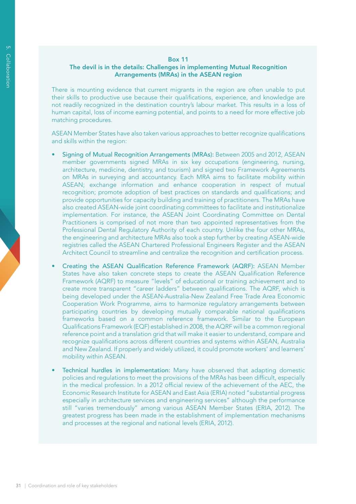#### Box 11

#### The devil is in the details: Challenges in implementing Mutual Recognition Arrangements (MRAs) in the ASEAN region

There is mounting evidence that current migrants in the region are often unable to put their skills to productive use because their qualifications, experience, and knowledge are not readily recognized in the destination country's labour market. This results in a loss of human capital, loss of income earning potential, and points to a need for more effective job matching procedures.

ASEAN Member States have also taken various approaches to better recognize qualifications and skills within the region:

- Signing of Mutual Recognition Arrangements (MRAs): Between 2005 and 2012, ASEAN member governments signed MRAs in six key occupations (engineering, nursing, architecture, medicine, dentistry, and tourism) and signed two Framework Agreements on MRAs in surveying and accountancy. Each MRA aims to facilitate mobility within ASEAN; exchange information and enhance cooperation in respect of mutual recognition; promote adoption of best practices on standards and qualifications; and provide opportunities for capacity building and training of practitioners. The MRAs have also created ASEAN-wide joint coordinating committees to facilitate and institutionalize implementation. For instance, the ASEAN Joint Coordinating Committee on Dental Practitioners is comprised of not more than two appointed representatives from the Professional Dental Regulatory Authority of each country. Unlike the four other MRAs, the engineering and architecture MRAs also took a step further by creating ASEAN-wide registries called the ASEAN Chartered Professional Engineers Register and the ASEAN Architect Council to streamline and centralize the recognition and certification process.
- Creating the ASEAN Qualification Reference Framework (AQRF): ASEAN Member States have also taken concrete steps to create the ASEAN Qualification Reference Framework (AQRF) to measure "levels" of educational or training achievement and to create more transparent "career ladders" between qualifications. The AQRF, which is being developed under the ASEAN-Australia-New Zealand Free Trade Area Economic Cooperation Work Programme, aims to harmonize regulatory arrangements between participating countries by developing mutually comparable national qualifications frameworks based on a common reference framework. Similar to the European Qualifications Framework (EQF) established in 2008, the AQRF will be a common regional reference point and a translation grid that will make it easier to understand, compare and recognize qualifications across different countries and systems within ASEAN, Australia and New Zealand. If properly and widely utilized, it could promote workers' and learners' mobility within ASEAN.
- Technical hurdles in implementation: Many have observed that adapting domestic policies and regulations to meet the provisions of the MRAs has been difficult, especially in the medical profession. In a 2012 official review of the achievement of the AEC, the Economic Research Institute for ASEAN and East Asia (ERIA) noted "substantial progress especially in architecture services and engineering services" although the performance still "varies tremendously" among various ASEAN Member States (ERIA, 2012). The greatest progress has been made in the establishment of implementation mechanisms and processes at the regional and national levels (ERIA, 2012).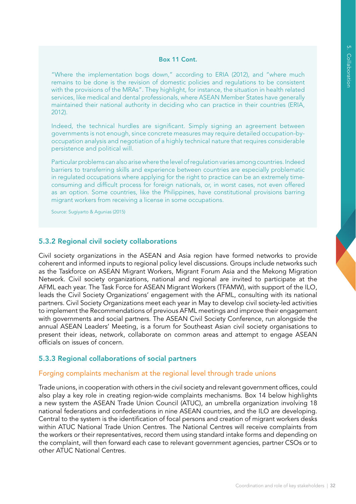#### Box 11 Cont.

"Where the implementation bogs down," according to ERIA (2012), and "where much remains to be done is the revision of domestic policies and regulations to be consistent with the provisions of the MRAs". They highlight, for instance, the situation in health related services, like medical and dental professionals, where ASEAN Member States have generally maintained their national authority in deciding who can practice in their countries (ERIA, 2012).

Indeed, the technical hurdles are significant. Simply signing an agreement between governments is not enough, since concrete measures may require detailed occupation-byoccupation analysis and negotiation of a highly technical nature that requires considerable persistence and political will.

Particular problems can also arise where the level of regulation varies among countries. Indeed barriers to transferring skills and experience between countries are especially problematic in regulated occupations where applying for the right to practice can be an extremely timeconsuming and difficult process for foreign nationals, or, in worst cases, not even offered as an option. Some countries, like the Philippines, have constitutional provisions barring migrant workers from receiving a license in some occupations.

Source: Sugiyarto & Agunias (2015)

#### 5.3.2 Regional civil society collaborations

Civil society organizations in the ASEAN and Asia region have formed networks to provide coherent and informed inputs to regional policy level discussions. Groups include networks such as the Taskforce on ASEAN Migrant Workers, Migrant Forum Asia and the Mekong Migration Network. Civil society organizations, national and regional are invited to participate at the AFML each year. The Task Force for ASEAN Migrant Workers (TFAMW), with support of the ILO, leads the Civil Society Organizations' engagement with the AFML, consulting with its national partners. Civil Society Organizations meet each year in May to develop civil society-led activities to implement the Recommendations of previous AFML meetings and improve their engagement with governments and social partners. The ASEAN Civil Society Conference, run alongside the annual ASEAN Leaders' Meeting, is a forum for Southeast Asian civil society organisations to present their ideas, network, collaborate on common areas and attempt to engage ASEAN officials on issues of concern.

## 5.3.3 Regional collaborations of social partners

#### Forging complaints mechanism at the regional level through trade unions

Trade unions, in cooperation with others in the civil society and relevant government offices, could also play a key role in creating region-wide complaints mechanisms. Box 14 below highlights a new system the ASEAN Trade Union Council (ATUC), an umbrella organization involving 18 national federations and confederations in nine ASEAN countries, and the ILO are developing. Central to the system is the identification of focal persons and creation of migrant workers desks within ATUC National Trade Union Centres. The National Centres will receive complaints from the workers or their representatives, record them using standard intake forms and depending on the complaint, will then forward each case to relevant government agencies, partner CSOs or to other ATUC National Centres.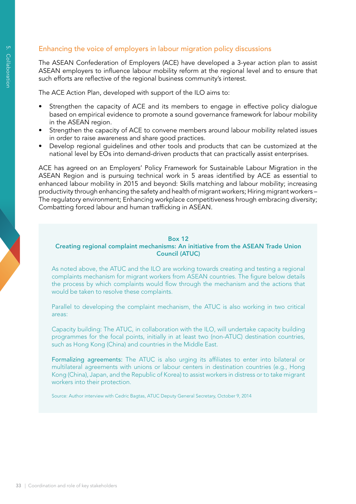## Enhancing the voice of employers in labour migration policy discussions

The ASEAN Confederation of Employers (ACE) have developed a 3-year action plan to assist ASEAN employers to influence labour mobility reform at the regional level and to ensure that such efforts are reflective of the regional business community's interest.

The ACE Action Plan, developed with support of the ILO aims to:

- Strengthen the capacity of ACE and its members to engage in effective policy dialogue based on empirical evidence to promote a sound governance framework for labour mobility in the ASEAN region.
- Strengthen the capacity of ACE to convene members around labour mobility related issues in order to raise awareness and share good practices.
- Develop regional quidelines and other tools and products that can be customized at the national level by EOs into demand-driven products that can practically assist enterprises.

ACE has agreed on an Employers' Policy Framework for Sustainable Labour Migration in the ASEAN Region and is pursuing technical work in 5 areas identified by ACE as essential to enhanced labour mobility in 2015 and beyond: Skills matching and labour mobility; increasing productivity through enhancing the safety and health of migrant workers; Hiring migrant workers – The regulatory environment; Enhancing workplace competitiveness hrough embracing diversity; Combatting forced labour and human trafficking in ASEAN.

#### Box 12

#### Creating regional complaint mechanisms: An initiative from the ASEAN Trade Union Council (ATUC)

As noted above, the ATUC and the ILO are working towards creating and testing a regional complaints mechanism for migrant workers from ASEAN countries. The figure below details the process by which complaints would flow through the mechanism and the actions that would be taken to resolve these complaints.

Parallel to developing the complaint mechanism, the ATUC is also working in two critical areas:

Capacity building: The ATUC, in collaboration with the ILO, will undertake capacity building programmes for the focal points, initially in at least two (non-ATUC) destination countries, such as Hong Kong (China) and countries in the Middle East.

Formalizing agreements: The ATUC is also urging its affiliates to enter into bilateral or multilateral agreements with unions or labour centers in destination countries (e.g., Hong Kong (China), Japan, and the Republic of Korea) to assist workers in distress or to take migrant workers into their protection.

Source: Author interview with Cedric Bagtas, ATUC Deputy General Secretary, October 9, 2014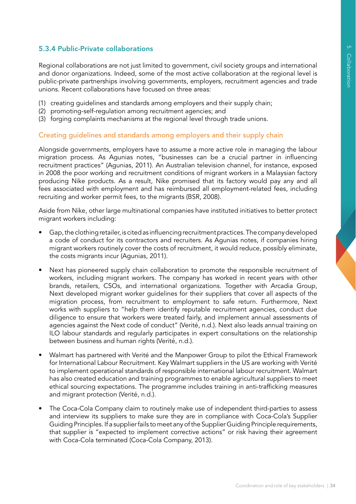# 5.3.4 Public-Private collaborations

Regional collaborations are not just limited to government, civil society groups and international and donor organizations. Indeed, some of the most active collaboration at the regional level is public-private partnerships involving governments, employers, recruitment agencies and trade unions. Recent collaborations have focused on three areas:

- (1) creating guidelines and standards among employers and their supply chain;
- (2) promoting-self-regulation among recruitment agencies; and
- (3) forging complaints mechanisms at the regional level through trade unions.

#### Creating guidelines and standards among employers and their supply chain

Alongside governments, employers have to assume a more active role in managing the labour migration process. As Agunias notes, "businesses can be a crucial partner in influencing recruitment practices" (Agunias, 2011). An Australian television channel, for instance, exposed in 2008 the poor working and recruitment conditions of migrant workers in a Malaysian factory producing Nike products. As a result, Nike promised that its factory would pay any and all fees associated with employment and has reimbursed all employment-related fees, including recruiting and worker permit fees, to the migrants (BSR, 2008).

Aside from Nike, other large multinational companies have instituted initiatives to better protect migrant workers including:

- Gap, the clothing retailer, is cited as influencing recruitment practices. The company developed a code of conduct for its contractors and recruiters. As Agunias notes, if companies hiring migrant workers routinely cover the costs of recruitment, it would reduce, possibly eliminate, the costs migrants incur (Agunias, 2011).
- Next has pioneered supply chain collaboration to promote the responsible recruitment of workers, including migrant workers. The company has worked in recent years with other brands, retailers, CSOs, and international organizations. Together with Arcadia Group, Next developed migrant worker guidelines for their suppliers that cover all aspects of the migration process, from recruitment to employment to safe return. Furthermore, Next works with suppliers to "help them identify reputable recruitment agencies, conduct due diligence to ensure that workers were treated fairly, and implement annual assessments of agencies against the Next code of conduct" (Verité, n.d.). Next also leads annual training on ILO labour standards and regularly participates in expert consultations on the relationship between business and human rights (Verité, n.d.).
- Walmart has partnered with Verité and the Manpower Group to pilot the Ethical Framework for International Labour Recruitment. Key Walmart suppliers in the US are working with Verité to implement operational standards of responsible international labour recruitment. Walmart has also created education and training programmes to enable agricultural suppliers to meet ethical sourcing expectations. The programme includes training in anti-trafficking measures and migrant protection (Verité, n.d.).
- The Coca-Cola Company claim to routinely make use of independent third-parties to assess and interview its suppliers to make sure they are in compliance with Coca-Cola's Supplier Guiding Principles. If a supplier fails to meet any of the Supplier Guiding Principle requirements, that supplier is "expected to implement corrective actions" or risk having their agreement with Coca-Cola terminated (Coca-Cola Company, 2013).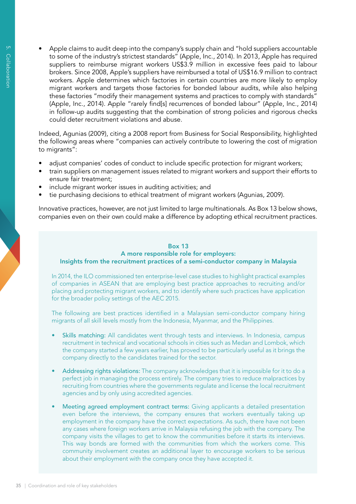Apple claims to audit deep into the company's supply chain and "hold suppliers accountable to some of the industry's strictest standards" (Apple, Inc., 2014). In 2013, Apple has required suppliers to reimburse migrant workers US\$3.9 million in excessive fees paid to labour brokers. Since 2008, Apple's suppliers have reimbursed a total of US\$16.9 million to contract workers. Apple determines which factories in certain countries are more likely to employ migrant workers and targets those factories for bonded labour audits, while also helping these factories "modify their management systems and practices to comply with standards" (Apple, Inc., 2014). Apple "rarely find[s] recurrences of bonded labour" (Apple, Inc., 2014) in follow-up audits suggesting that the combination of strong policies and rigorous checks could deter recruitment violations and abuse.

Indeed, Agunias (2009), citing a 2008 report from Business for Social Responsibility, highlighted the following areas where "companies can actively contribute to lowering the cost of migration to migrants":

- adjust companies' codes of conduct to include specific protection for migrant workers;
- train suppliers on management issues related to migrant workers and support their efforts to ensure fair treatment;
- include migrant worker issues in auditing activities; and
- tie purchasing decisions to ethical treatment of migrant workers (Agunias, 2009).

Innovative practices, however, are not just limited to large multinationals. As Box 13 below shows, companies even on their own could make a difference by adopting ethical recruitment practices.

#### Box 13 A more responsible role for employers: Insights from the recruitment practices of a semi-conductor company in Malaysia

In 2014, the ILO commissioned ten enterprise-level case studies to highlight practical examples of companies in ASEAN that are employing best practice approaches to recruiting and/or placing and protecting migrant workers, and to identify where such practices have application for the broader policy settings of the AEC 2015.

The following are best practices identified in a Malaysian semi-conductor company hiring migrants of all skill levels mostly from the Indonesia, Myanmar, and the Philippines.

- Skills matching: All candidates went through tests and interviews. In Indonesia, campus recruitment in technical and vocational schools in cities such as Medan and Lombok, which the company started a few years earlier, has proved to be particularly useful as it brings the company directly to the candidates trained for the sector.
- Addressing rights violations: The company acknowledges that it is impossible for it to do a perfect job in managing the process entirely. The company tries to reduce malpractices by recruiting from countries where the governments regulate and license the local recruitment agencies and by only using accredited agencies.
- Meeting agreed employment contract terms: Giving applicants a detailed presentation even before the interviews, the company ensures that workers eventually taking up employment in the company have the correct expectations. As such, there have not been any cases where foreign workers arrive in Malaysia refusing the job with the company. The company visits the villages to get to know the communities before it starts its interviews. This way bonds are formed with the communities from which the workers come. This community involvement creates an additional layer to encourage workers to be serious about their employment with the company once they have accepted it.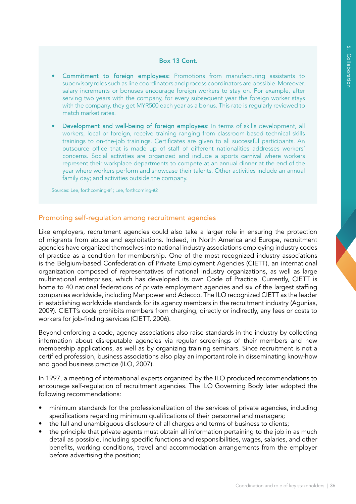#### Box 13 Cont.

- • Commitment to foreign employees: Promotions from manufacturing assistants to supervisory roles such as line coordinators and process coordinators are possible. Moreover, salary increments or bonuses encourage foreign workers to stay on. For example, after serving two years with the company, for every subsequent year the foreign worker stays with the company, they get MYR500 each year as a bonus. This rate is regularly reviewed to match market rates.
- Development and well-being of foreign employees: In terms of skills development, all workers, local or foreign, receive training ranging from classroom-based technical skills trainings to on-the-job trainings. Certificates are given to all successful participants. An outsource office that is made up of staff of different nationalities addresses workers' concerns. Social activities are organized and include a sports carnival where workers represent their workplace departments to compete at an annual dinner at the end of the year where workers perform and showcase their talents. Other activities include an annual family day; and activities outside the company.

Sources: Lee, forthcoming-#1; Lee, forthcoming-#2

#### Promoting self-regulation among recruitment agencies

Like employers, recruitment agencies could also take a larger role in ensuring the protection of migrants from abuse and exploitations. Indeed, in North America and Europe, recruitment agencies have organized themselves into national industry associations employing industry codes of practice as a condition for membership. One of the most recognized industry associations is the Belgium-based Confederation of Private Employment Agencies (CIETT), an international organization composed of representatives of national industry organizations, as well as large multinational enterprises, which has developed its own Code of Practice. Currently, CIETT is home to 40 national federations of private employment agencies and six of the largest staffing companies worldwide, including Manpower and Adecco. The ILO recognized CIETT as the leader in establishing worldwide standards for its agency members in the recruitment industry (Agunias, 2009). CIETT's code prohibits members from charging, directly or indirectly, any fees or costs to workers for job-finding services (CIETT, 2006).

Beyond enforcing a code, agency associations also raise standards in the industry by collecting information about disreputable agencies via regular screenings of their members and new membership applications, as well as by organizing training seminars. Since recruitment is not a certified profession, business associations also play an important role in disseminating know-how and good business practice (ILO, 2007).

In 1997, a meeting of international experts organized by the ILO produced recommendations to encourage self-regulation of recruitment agencies. The ILO Governing Body later adopted the following recommendations:

- minimum standards for the professionalization of the services of private agencies, including specifications regarding minimum qualifications of their personnel and managers;
- the full and unambiguous disclosure of all charges and terms of business to clients;
- the principle that private agents must obtain all information pertaining to the job in as much detail as possible, including specific functions and responsibilities, wages, salaries, and other benefits, working conditions, travel and accommodation arrangements from the employer before advertising the position;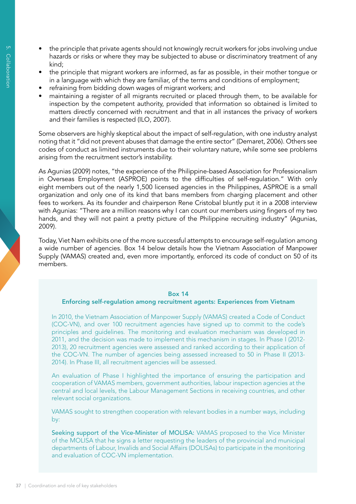- the principle that private agents should not knowingly recruit workers for jobs involving undue hazards or risks or where they may be subjected to abuse or discriminatory treatment of any kind;
- the principle that migrant workers are informed, as far as possible, in their mother tongue or in a language with which they are familiar, of the terms and conditions of employment;
- refraining from bidding down wages of migrant workers; and
- maintaining a register of all migrants recruited or placed through them, to be available for inspection by the competent authority, provided that information so obtained is limited to matters directly concerned with recruitment and that in all instances the privacy of workers and their families is respected (ILO, 2007).

Some observers are highly skeptical about the impact of self-regulation, with one industry analyst noting that it "did not prevent abuses that damage the entire sector" (Demaret, 2006). Others see codes of conduct as limited instruments due to their voluntary nature, while some see problems arising from the recruitment sector's instability.

As Agunias (2009) notes, "the experience of the Philippine-based Association for Professionalism in Overseas Employment (ASPROE) points to the difficulties of self-regulation." With only eight members out of the nearly 1,500 licensed agencies in the Philippines, ASPROE is a small organization and only one of its kind that bans members from charging placement and other fees to workers. As its founder and chairperson Rene Cristobal bluntly put it in a 2008 interview with Agunias: "There are a million reasons why I can count our members using fingers of my two hands, and they will not paint a pretty picture of the Philippine recruiting industry" (Agunias, 2009).

Today, Viet Nam exhibits one of the more successful attempts to encourage self-regulation among a wide number of agencies. Box 14 below details how the Vietnam Association of Manpower Supply (VAMAS) created and, even more importantly, enforced its code of conduct on 50 of its members.

#### Box 14

#### Enforcing self-regulation among recruitment agents: Experiences from Vietnam

In 2010, the Vietnam Association of Manpower Supply (VAMAS) created a Code of Conduct (COC-VN), and over 100 recruitment agencies have signed up to commit to the code's principles and guidelines. The monitoring and evaluation mechanism was developed in 2011, and the decision was made to implement this mechanism in stages. In Phase I (2012- 2013), 20 recruitment agencies were assessed and ranked according to their application of the COC-VN. The number of agencies being assessed increased to 50 in Phase II (2013- 2014). In Phase III, all recruitment agencies will be assessed.

An evaluation of Phase I highlighted the importance of ensuring the participation and cooperation of VAMAS members, government authorities, labour inspection agencies at the central and local levels, the Labour Management Sections in receiving countries, and other relevant social organizations.

VAMAS sought to strengthen cooperation with relevant bodies in a number ways, including by:

Seeking support of the Vice-Minister of MOLISA: VAMAS proposed to the Vice Minister of the MOLISA that he signs a letter requesting the leaders of the provincial and municipal departments of Labour, Invalids and Social Affairs (DOLISAs) to participate in the monitoring and evaluation of COC-VN implementation.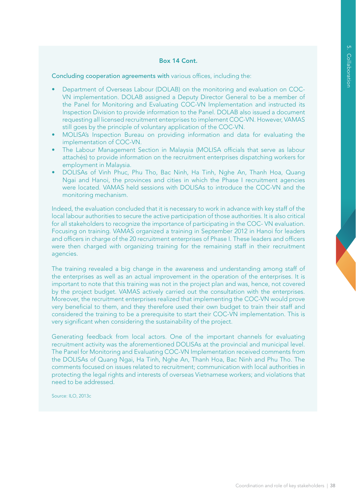#### Box 14 Cont.

Concluding cooperation agreements with various offices, including the:

- Department of Overseas Labour (DOLAB) on the monitoring and evaluation on COC-VN implementation. DOLAB assigned a Deputy Director General to be a member of the Panel for Monitoring and Evaluating COC-VN Implementation and instructed its Inspection Division to provide information to the Panel. DOLAB also issued a document requesting all licensed recruitment enterprises to implement COC-VN. However, VAMAS still goes by the principle of voluntary application of the COC-VN.
- MOLISA's Inspection Bureau on providing information and data for evaluating the implementation of COC-VN.
- The Labour Management Section in Malaysia (MOLISA officials that serve as labour attachés) to provide information on the recruitment enterprises dispatching workers for employment in Malaysia.
- DOLISAs of Vinh Phuc, Phu Tho, Bac Ninh, Ha Tinh, Nghe An, Thanh Hoa, Quang Ngai and Hanoi, the provinces and cities in which the Phase I recruitment agencies were located. VAMAS held sessions with DOLISAs to introduce the COC-VN and the monitoring mechanism.

Indeed, the evaluation concluded that it is necessary to work in advance with key staff of the local labour authorities to secure the active participation of those authorities. It is also critical for all stakeholders to recognize the importance of participating in the COC- VN evaluation. Focusing on training. VAMAS organized a training in September 2012 in Hanoi for leaders and officers in charge of the 20 recruitment enterprises of Phase I. These leaders and officers were then charged with organizing training for the remaining staff in their recruitment agencies.

The training revealed a big change in the awareness and understanding among staff of the enterprises as well as an actual improvement in the operation of the enterprises. It is important to note that this training was not in the project plan and was, hence, not covered by the project budget. VAMAS actively carried out the consultation with the enterprises. Moreover, the recruitment enterprises realized that implementing the COC-VN would prove very beneficial to them, and they therefore used their own budget to train their staff and considered the training to be a prerequisite to start their COC-VN implementation. This is very significant when considering the sustainability of the project.

Generating feedback from local actors. One of the important channels for evaluating recruitment activity was the aforementioned DOLISAs at the provincial and municipal level. The Panel for Monitoring and Evaluating COC-VN Implementation received comments from the DOLISAs of Quang Ngai, Ha Tinh, Nghe An, Thanh Hoa, Bac Ninh and Phu Tho. The comments focused on issues related to recruitment; communication with local authorities in protecting the legal rights and interests of overseas Vietnamese workers; and violations that need to be addressed.

Source: ILO, 2013c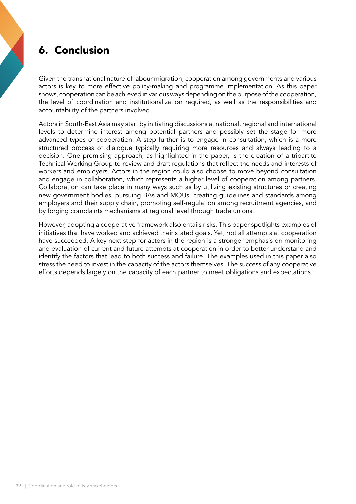# 6. Conclusion

Given the transnational nature of labour migration, cooperation among governments and various actors is key to more effective policy-making and programme implementation. As this paper shows, cooperation can be achieved in various ways depending on the purpose of the cooperation, the level of coordination and institutionalization required, as well as the responsibilities and accountability of the partners involved.

Actors in South-East Asia may start by initiating discussions at national, regional and international levels to determine interest among potential partners and possibly set the stage for more advanced types of cooperation. A step further is to engage in consultation, which is a more structured process of dialogue typically requiring more resources and always leading to a decision. One promising approach, as highlighted in the paper, is the creation of a tripartite Technical Working Group to review and draft regulations that reflect the needs and interests of workers and employers. Actors in the region could also choose to move beyond consultation and engage in collaboration, which represents a higher level of cooperation among partners. Collaboration can take place in many ways such as by utilizing existing structures or creating new government bodies, pursuing BAs and MOUs, creating guidelines and standards among employers and their supply chain, promoting self-regulation among recruitment agencies, and by forging complaints mechanisms at regional level through trade unions.

However, adopting a cooperative framework also entails risks. This paper spotlights examples of initiatives that have worked and achieved their stated goals. Yet, not all attempts at cooperation have succeeded. A key next step for actors in the region is a stronger emphasis on monitoring and evaluation of current and future attempts at cooperation in order to better understand and identify the factors that lead to both success and failure. The examples used in this paper also stress the need to invest in the capacity of the actors themselves. The success of any cooperative efforts depends largely on the capacity of each partner to meet obligations and expectations.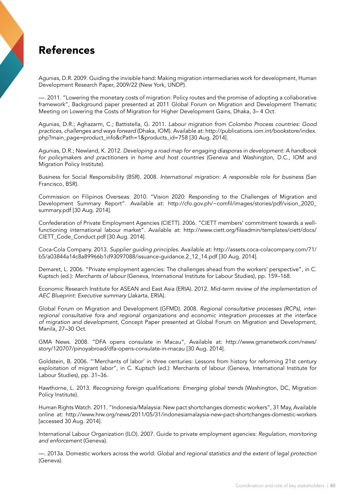# References

Agunias, D.R. 2009. Guiding the invisible hand: Making migration intermediaries work for development, Human Development Research Paper, 2009/22 (New York, UNDP).

—. 2011. "Lowering the monetary costs of migration: Policy routes and the promise of adopting a collaborative framework", Background paper presented at 2011 Global Forum on Migration and Development Thematic Meeting on Lowering the Costs of Migration for Higher Development Gains, Dhaka, 3– 4 Oct.

Agunias, D.R.; Aghazarm, C.; Battistella, G. 2011. *Labour migration from Colombo Process countries: Good practices, challenges and ways forward* (Dhaka, IOM). Available at: http://publications.iom.int/bookstore/index. php?main\_page=product\_info&cPath=1&products\_id=758 [30 Aug. 2014].

Agunias, D.R.; Newland, K. 2012. *Developing a road map for engaging diasporas in development: A handbook for policymakers and practitioners in home and host countries* (Geneva and Washington, D.C., IOM and Migration Policy Institute).

Business for Social Responsibility (BSR). 2008. *International migration: A responsible role for business* (San Francisco, BSR).

Commission on Filipinos Overseas. 2010. "Vision 2020: Responding to the Challenges of Migration and Development Summary Report". Available at: http://cfo.gov.ph/~comfil/images/stories/pdf/vision\_2020\_ summary.pdf [30 Aug. 2014].

Confederation of Private Employment Agencies (CIETT). 2006. "CIETT members' commitment towards a wellfunctioning international labour market". Available at: http://www.ciett.org/fileadmin/templates/ciett/docs/ CIETT\_Code\_Conduct.pdf [30 Aug. 2014].

Coca-Cola Company. 2013. *Supplier guiding principles*. Available at: http://assets.coca-colacompany.com/71/ b5/a03844a14c8a89966b1d93097088/issuance-guidance.2\_12\_14.pdf [30 Aug. 2014].

Demaret, L. 2006. "Private employment agencies: The challenges ahead from the workers' perspective", in C. Kuptsch (ed.): *Merchants of labour* (Geneva, International Institute for Labour Studies), pp. 159–168.

Economic Research Institute for ASEAN and East Asia (ERIA). 2012. *Mid-term review of the implementation of AEC Blueprint: Executive summary* (Jakarta, ERIA).

Global Forum on Migration and Development (GFMD). 2008. *Regional consultative processes (RCPs), interregional consultative fora and regional organizations and economic integration processes at the interface of migration and development*, Concept Paper presented at Global Forum on Migration and Development, Manila, 27–30 Oct.

GMA News. 2008. "DFA opens consulate in Macau", Available at: http://www.gmanetwork.com/news/ story/120707/pinoyabroad/dfa-opens-consulate-in-macau [30 Aug. 2014].

Goldstein, B. 2006. "'Merchants of labor' in three centuries: Lessons from history for reforming 21st century exploitation of migrant labor", in C. Kuptsch (ed.): Merchants of labour (Geneva, International Institute for Labour Studies), pp. 31–36.

Hawthorne, L. 2013. *Recognizing foreign qualifications: Emerging global trends* (Washington, DC, Migration Policy Institute).

Human Rights Watch. 2011. "Indonesia/Malaysia: New pact shortchanges domestic workers", 31 May, Available online at: http://www.hrw.org/news/2011/05/31/indonesiamalaysia-new-pact-shortchanges-domestic-workers [accessed 30 Aug. 2014].

International Labour Organization (ILO). 2007. Guide to private employment agencies: *Regulation, monitoring and enforcement* (Geneva).

—. 2013a. Domestic workers across the world: *Global and regional statistics and the extent of legal protection* (Geneva).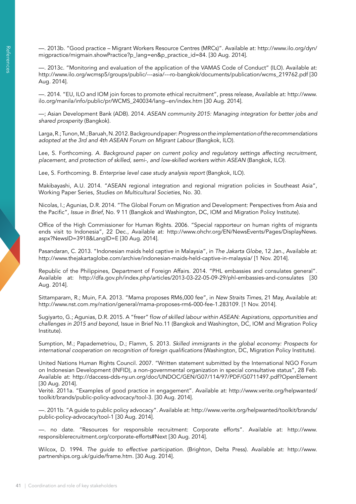—. 2013b. "Good practice – Migrant Workers Resource Centres (MRCs)". Available at: http://www.ilo.org/dyn/ migpractice/migmain.showPractice?p\_lang=en&p\_practice\_id=84. [30 Aug. 2014].

—. 2013c. "Monitoring and evaluation of the application of the VAMAS Code of Conduct" (ILO). Available at: http://www.ilo.org/wcmsp5/groups/public/---asia/---ro-bangkok/documents/publication/wcms\_219762.pdf [30 Aug. 2014].

—. 2014. "EU, ILO and IOM join forces to promote ethical recruitment", press release, Available at: http://www. ilo.org/manila/info/public/pr/WCMS\_240034/lang--en/index.htm [30 Aug. 2014].

—; Asian Development Bank (ADB). 2014. *ASEAN community 2015: Managing integration for better jobs and shared prosperity* (Bangkok).

Larga, R.; Tunon, M.; Baruah, N. 2012. Background paper: *Progress on the implementation of the recommendations adopted at the 3rd and 4th ASEAN Forum on Migrant Labour* (Bangkok, ILO).

Lee, S. Forthcoming. *A. Background paper on current policy and regulatory settings affecting recruitment, placement, and protection of skilled, semi-, and low-skilled workers within ASEAN* (Bangkok, ILO).

Lee, S. Forthcoming. B. *Enterprise level case study analysis report* (Bangkok, ILO).

Makibayashi, A.U. 2014. "ASEAN regional integration and regional migration policies in Southeast Asia", Working Paper Series, *Studies on Multicultural Societies*, No. 30.

Nicolas, I.; Agunias, D.R. 2014. "The Global Forum on Migration and Development: Perspectives from Asia and the Pacific", *Issue in Brief*, No. 9 11 (Bangkok and Washington, DC, IOM and Migration Policy Institute).

Office of the High Commissioner for Human Rights. 2006. "Special rapporteur on human rights of migrants ends visit to Indonesia", 22 Dec., Available at: http://www.ohchr.org/EN/NewsEvents/Pages/DisplayNews. aspx?NewsID=3918&LangID=E [30 Aug. 2014].

Pasandaran, C. 2013. "Indonesian maids held captive in Malaysia", in *The Jakarta Globe*, 12 Jan., Available at: http://www.thejakartaglobe.com/archive/indonesian-maids-held-captive-in-malaysia/ [1 Nov. 2014].

Republic of the Philippines, Department of Foreign Affairs. 2014. "PHL embassies and consulates general". Available at: http://dfa.gov.ph/index.php/articles/2013-03-22-05-09-29/phl-embassies-and-consulates [30 Aug. 2014].

Sittamparam, R.; Muin, F.A. 2013. "Mama proposes RM6,000 fee", in *New Straits Times*, 21 May, Available at: http://www.nst.com.my/nation/general/mama-proposes-rm6-000-fee-1.283109. [1 Nov. 2014].

Sugiyarto, G.; Agunias, D.R. 2015. A "freer" f*low of skilled labour within ASEAN: Aspirations, opportunities and challenges in 2015 and beyond*, Issue in Brief No.11 (Bangkok and Washington, DC, IOM and Migration Policy Institute).

Sumption, M.; Papademetriou, D.; Flamm, S. 2013. *Skilled immigrants in the global economy: Prospects for international cooperation on recognition of foreign qualifications* (Washington, DC, Migration Policy Institute).

United Nations Human Rights Council. 2007. "Written statement submitted by the International NGO Forum on Indonesian Development (INFID), a non-governmental organization in special consultative status", 28 Feb. Available at: http://daccess-dds-ny.un.org/doc/UNDOC/GEN/G07/114/97/PDF/G0711497.pdf?OpenElement [30 Aug. 2014].

Verité. 2011a. "Examples of good practice in engagement". Available at: http://www.verite.org/helpwanted/ toolkit/brands/public-policy-advocacy/tool-3. [30 Aug. 2014].

—. 2011b. "A guide to public policy advocacy". Available at: http://www.verite.org/helpwanted/toolkit/brands/ public-policy-advocacy/tool-1 [30 Aug. 2014].

—. no date. "Resources for responsible recruitment: Corporate efforts". Available at: http://www. responsiblerecruitment.org/corporate-efforts#Next [30 Aug. 2014].

Wilcox, D. 1994. *The guide to effective participation.* (Brighton, Delta Press). Available at: http://www. partnerships.org.uk/guide/frame.htm. [30 Aug. 2014].